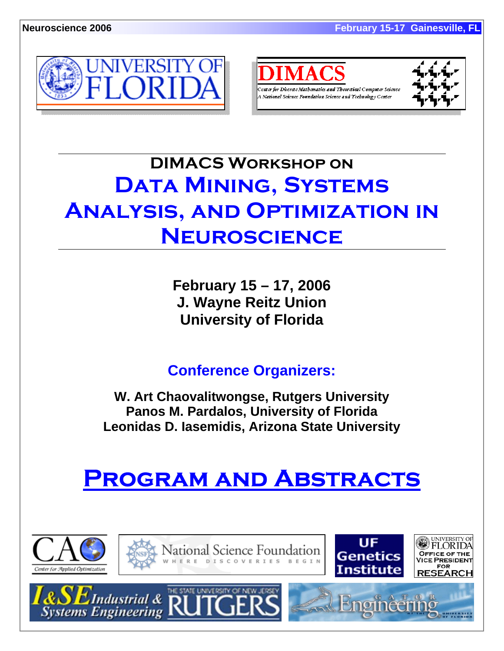



A National Science Foundation Science and Technology Center



# **DIMACS Workshop on DATA MINING, SYSTEMS Analysis, and Optimization in Neuroscience**

**February 15 – 17, 2006 J. Wayne Reitz Union University of Florida** 

**Conference Organizers:** 

**W. Art Chaovalitwongse, Rutgers University Panos M. Pardalos, University of Florida Leonidas D. Iasemidis, Arizona State University** 

# **Program and Abstracts**

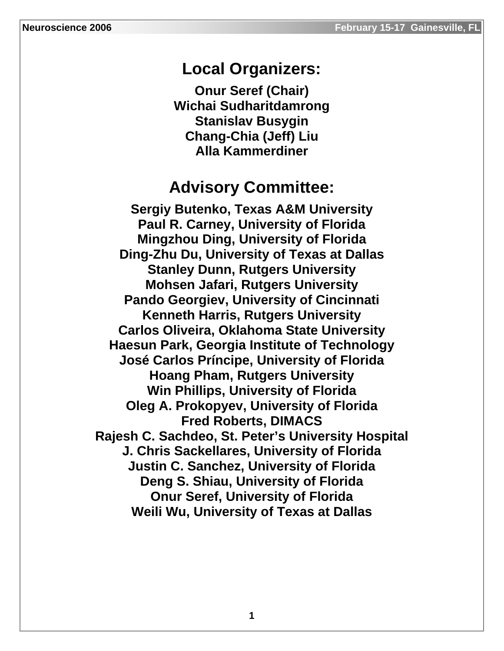# **Local Organizers:**

**Onur Seref (Chair) Wichai Sudharitdamrong Stanislav Busygin Chang-Chia (Jeff) Liu Alla Kammerdiner** 

# **Advisory Committee:**

**Sergiy Butenko, Texas A&M University Paul R. Carney, University of Florida Mingzhou Ding, University of Florida Ding-Zhu Du, University of Texas at Dallas Stanley Dunn, Rutgers University Mohsen Jafari, Rutgers University Pando Georgiev, University of Cincinnati Kenneth Harris, Rutgers University Carlos Oliveira, Oklahoma State University Haesun Park, Georgia Institute of Technology José Carlos Príncipe, University of Florida Hoang Pham, Rutgers University Win Phillips, University of Florida Oleg A. Prokopyev, University of Florida Fred Roberts, DIMACS Rajesh C. Sachdeo, St. Peter's University Hospital J. Chris Sackellares, University of Florida Justin C. Sanchez, University of Florida Deng S. Shiau, University of Florida Onur Seref, University of Florida Weili Wu, University of Texas at Dallas**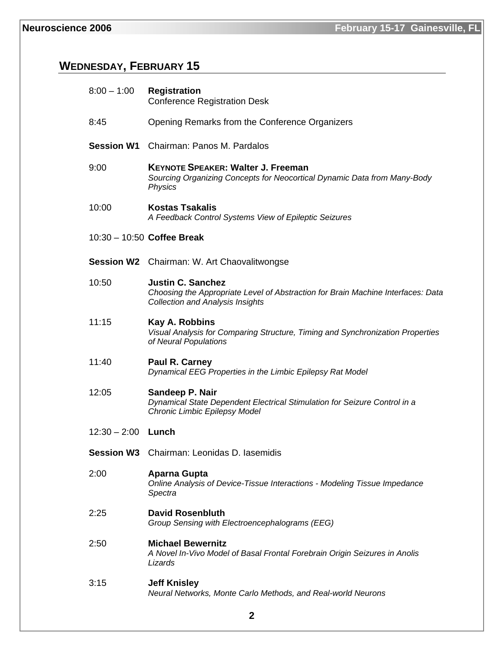# **WEDNESDAY, FEBRUARY 15**

| $8:00 - 1:00$        | <b>Registration</b><br><b>Conference Registration Desk</b>                                                                                              |
|----------------------|---------------------------------------------------------------------------------------------------------------------------------------------------------|
| 8:45                 | Opening Remarks from the Conference Organizers                                                                                                          |
| <b>Session W1</b>    | Chairman: Panos M. Pardalos                                                                                                                             |
| 9:00                 | <b>KEYNOTE SPEAKER: Walter J. Freeman</b><br>Sourcing Organizing Concepts for Neocortical Dynamic Data from Many-Body<br><b>Physics</b>                 |
| 10:00                | <b>Kostas Tsakalis</b><br>A Feedback Control Systems View of Epileptic Seizures                                                                         |
|                      | 10:30 - 10:50 Coffee Break                                                                                                                              |
|                      | <b>Session W2</b> Chairman: W. Art Chaovalitwongse                                                                                                      |
| 10:50                | <b>Justin C. Sanchez</b><br>Choosing the Appropriate Level of Abstraction for Brain Machine Interfaces: Data<br><b>Collection and Analysis Insights</b> |
| 11:15                | Kay A. Robbins<br>Visual Analysis for Comparing Structure, Timing and Synchronization Properties<br>of Neural Populations                               |
| 11:40                | Paul R. Carney<br>Dynamical EEG Properties in the Limbic Epilepsy Rat Model                                                                             |
| 12:05                | Sandeep P. Nair<br>Dynamical State Dependent Electrical Stimulation for Seizure Control in a<br>Chronic Limbic Epilepsy Model                           |
| $12:30 - 2:00$ Lunch |                                                                                                                                                         |
|                      | <b>Session W3</b> Chairman: Leonidas D. lasemidis                                                                                                       |
| 2:00                 | <b>Aparna Gupta</b><br>Online Analysis of Device-Tissue Interactions - Modeling Tissue Impedance<br>Spectra                                             |
| 2:25                 | <b>David Rosenbluth</b><br>Group Sensing with Electroencephalograms (EEG)                                                                               |
| 2:50                 | <b>Michael Bewernitz</b><br>A Novel In-Vivo Model of Basal Frontal Forebrain Origin Seizures in Anolis<br>Lizards                                       |
| 3:15                 | <b>Jeff Knisley</b><br>Neural Networks, Monte Carlo Methods, and Real-world Neurons                                                                     |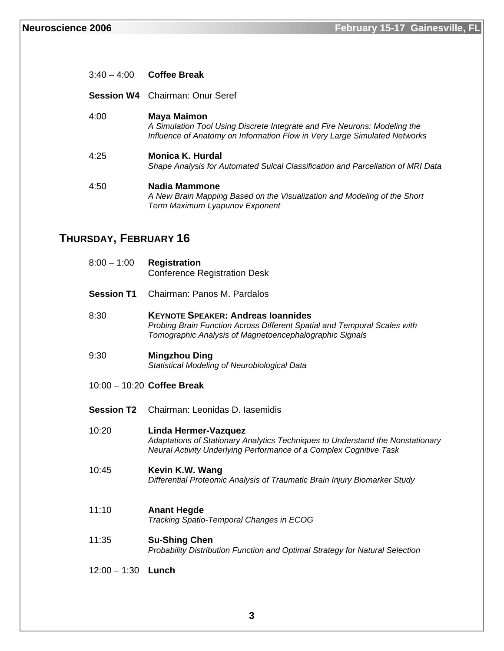|      | $3:40 - 4:00$ Coffee Break                                                                                                                                            |
|------|-----------------------------------------------------------------------------------------------------------------------------------------------------------------------|
|      | <b>Session W4</b> Chairman: Onur Seref                                                                                                                                |
| 4:00 | Maya Maimon<br>A Simulation Tool Using Discrete Integrate and Fire Neurons: Modeling the<br>Influence of Anatomy on Information Flow in Very Large Simulated Networks |
| 4:25 | Monica K. Hurdal<br>Shape Analysis for Automated Sulcal Classification and Parcellation of MRI Data                                                                   |
| 4:50 | Nadia Mammone<br>A New Brain Mapping Based on the Visualization and Modeling of the Short<br>Term Maximum Lyapunov Exponent                                           |

# **THURSDAY, FEBRUARY 16**

| $8:00 - 1:00$     | <b>Registration</b><br><b>Conference Registration Desk</b>                                                                                                                       |
|-------------------|----------------------------------------------------------------------------------------------------------------------------------------------------------------------------------|
| <b>Session T1</b> | Chairman: Panos M. Pardalos                                                                                                                                                      |
| 8:30              | <b>KEYNOTE SPEAKER: Andreas Ioannides</b><br>Probing Brain Function Across Different Spatial and Temporal Scales with<br>Tomographic Analysis of Magnetoencephalographic Signals |
| 9:30              | <b>Mingzhou Ding</b><br>Statistical Modeling of Neurobiological Data                                                                                                             |
|                   | $10:00 - 10:20$ Coffee Break                                                                                                                                                     |
| <b>Session T2</b> | Chairman: Leonidas D. lasemidis                                                                                                                                                  |
| 10:20             | Linda Hermer-Vazquez<br>Adaptations of Stationary Analytics Techniques to Understand the Nonstationary<br>Neural Activity Underlying Performance of a Complex Cognitive Task     |
| 10:45             | Kevin K.W. Wang<br>Differential Proteomic Analysis of Traumatic Brain Injury Biomarker Study                                                                                     |
| 11:10             | <b>Anant Hegde</b><br>Tracking Spatio-Temporal Changes in ECOG                                                                                                                   |
| 11:35             | <b>Su-Shing Chen</b><br>Probability Distribution Function and Optimal Strategy for Natural Selection                                                                             |
| $12:00 - 1:30$    | Lunch                                                                                                                                                                            |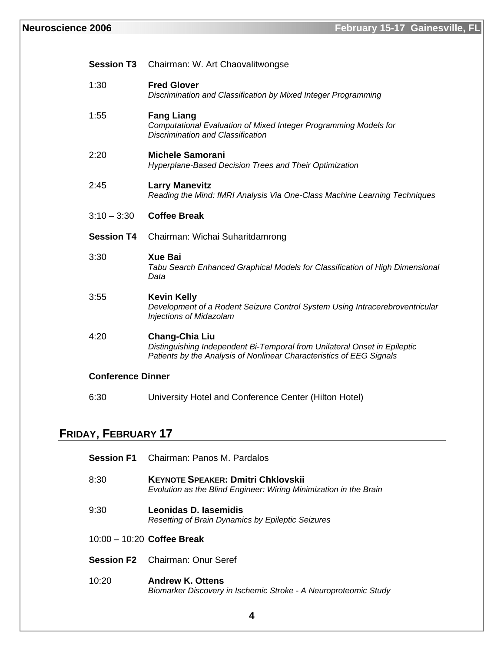# **Neuroscience 2006 February 15-17 Gainesville, FL**

| <b>Session T3</b>        | Chairman: W. Art Chaovalitwongse                                                                                                                                           |
|--------------------------|----------------------------------------------------------------------------------------------------------------------------------------------------------------------------|
| 1:30                     | <b>Fred Glover</b><br>Discrimination and Classification by Mixed Integer Programming                                                                                       |
| 1:55                     | <b>Fang Liang</b><br>Computational Evaluation of Mixed Integer Programming Models for<br><b>Discrimination and Classification</b>                                          |
| 2:20                     | <b>Michele Samorani</b><br>Hyperplane-Based Decision Trees and Their Optimization                                                                                          |
| 2:45                     | <b>Larry Manevitz</b><br>Reading the Mind: fMRI Analysis Via One-Class Machine Learning Techniques                                                                         |
| $3:10 - 3:30$            | <b>Coffee Break</b>                                                                                                                                                        |
|                          |                                                                                                                                                                            |
| <b>Session T4</b>        | Chairman: Wichai Suharitdamrong                                                                                                                                            |
| 3:30                     | <b>Xue Bai</b><br>Tabu Search Enhanced Graphical Models for Classification of High Dimensional<br>Data                                                                     |
| 3:55                     | <b>Kevin Kelly</b><br>Development of a Rodent Seizure Control System Using Intracerebroventricular<br>Injections of Midazolam                                              |
| 4:20                     | <b>Chang-Chia Liu</b><br>Distinguishing Independent Bi-Temporal from Unilateral Onset in Epileptic<br>Patients by the Analysis of Nonlinear Characteristics of EEG Signals |
| <b>Conference Dinner</b> |                                                                                                                                                                            |

# **FRIDAY, FEBRUARY 17**

|       | <b>Session F1</b> Chairman: Panos M. Pardalos                                                                  |
|-------|----------------------------------------------------------------------------------------------------------------|
| 8:30  | <b>KEYNOTE SPEAKER: Dmitri Chklovskii</b><br>Evolution as the Blind Engineer: Wiring Minimization in the Brain |
| 9:30  | Leonidas D. Iasemidis<br>Resetting of Brain Dynamics by Epileptic Seizures                                     |
|       | $10:00 - 10:20$ Coffee Break                                                                                   |
|       | <b>Session F2</b> Chairman: Onur Seref                                                                         |
| 10:20 | <b>Andrew K. Ottens</b><br>Biomarker Discovery in Ischemic Stroke - A Neuroproteomic Study                     |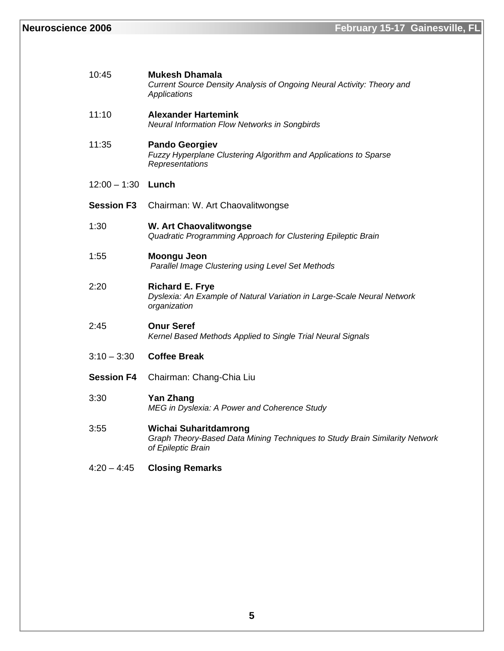| 10:45                | <b>Mukesh Dhamala</b><br>Current Source Density Analysis of Ongoing Neural Activity: Theory and<br>Applications            |
|----------------------|----------------------------------------------------------------------------------------------------------------------------|
| 11:10                | <b>Alexander Hartemink</b><br><b>Neural Information Flow Networks in Songbirds</b>                                         |
| 11:35                | <b>Pando Georgiev</b><br>Fuzzy Hyperplane Clustering Algorithm and Applications to Sparse<br>Representations               |
| $12:00 - 1:30$ Lunch |                                                                                                                            |
| <b>Session F3</b>    | Chairman: W. Art Chaovalitwongse                                                                                           |
| 1:30                 | <b>W. Art Chaovalitwongse</b><br>Quadratic Programming Approach for Clustering Epileptic Brain                             |
| 1:55                 | Moongu Jeon<br>Parallel Image Clustering using Level Set Methods                                                           |
| 2:20                 | <b>Richard E. Frye</b><br>Dyslexia: An Example of Natural Variation in Large-Scale Neural Network<br>organization          |
| 2:45                 | <b>Onur Seref</b><br>Kernel Based Methods Applied to Single Trial Neural Signals                                           |
| $3:10 - 3:30$        | <b>Coffee Break</b>                                                                                                        |
| <b>Session F4</b>    | Chairman: Chang-Chia Liu                                                                                                   |
| 3:30                 | <b>Yan Zhang</b><br>MEG in Dyslexia: A Power and Coherence Study                                                           |
| 3:55                 | Wichai Suharitdamrong<br>Graph Theory-Based Data Mining Techniques to Study Brain Similarity Network<br>of Epileptic Brain |
| $4:20 - 4:45$        | <b>Closing Remarks</b>                                                                                                     |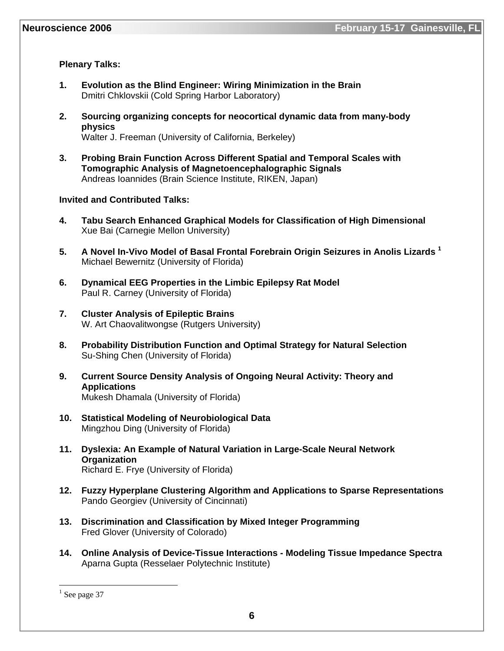# **Plenary Talks:**

- **1. Evolution as the Blind Engineer: Wiring Minimization in the Brain**  Dmitri Chklovskii (Cold Spring Harbor Laboratory)
- **2. Sourcing organizing concepts for neocortical dynamic data from many-body physics**  Walter J. Freeman (University of California, Berkeley)
- **3. Probing Brain Function Across Different Spatial and Temporal Scales with Tomographic Analysis of Magnetoencephalographic Signals**  Andreas Ioannides (Brain Science Institute, RIKEN, Japan)

#### **Invited and Contributed Talks:**

- **4. Tabu Search Enhanced Graphical Models for Classification of High Dimensional**  Xue Bai (Carnegie Mellon University)
- **5. A Novel In-Vivo Model of Basal Frontal Forebrain Origin Seizures in Anolis Lizards 1** Michael Bewernitz (University of Florida)
- **6. Dynamical EEG Properties in the Limbic Epilepsy Rat Model**  Paul R. Carney (University of Florida)
- **7. Cluster Analysis of Epileptic Brains**  W. Art Chaovalitwongse (Rutgers University)
- **8. Probability Distribution Function and Optimal Strategy for Natural Selection**  Su-Shing Chen (University of Florida)
- **9. Current Source Density Analysis of Ongoing Neural Activity: Theory and Applications**  Mukesh Dhamala (University of Florida)
- **10. Statistical Modeling of Neurobiological Data**  Mingzhou Ding (University of Florida)
- **11. Dyslexia: An Example of Natural Variation in Large-Scale Neural Network Organization**  Richard E. Frye (University of Florida)
- **12. Fuzzy Hyperplane Clustering Algorithm and Applications to Sparse Representations**  Pando Georgiev (University of Cincinnati)
- **13. Discrimination and Classification by Mixed Integer Programming**  Fred Glover (University of Colorado)
- **14. Online Analysis of Device-Tissue Interactions Modeling Tissue Impedance Spectra**  Aparna Gupta (Resselaer Polytechnic Institute)

 $\overline{a}$ 

 $<sup>1</sup>$  See page 37</sup>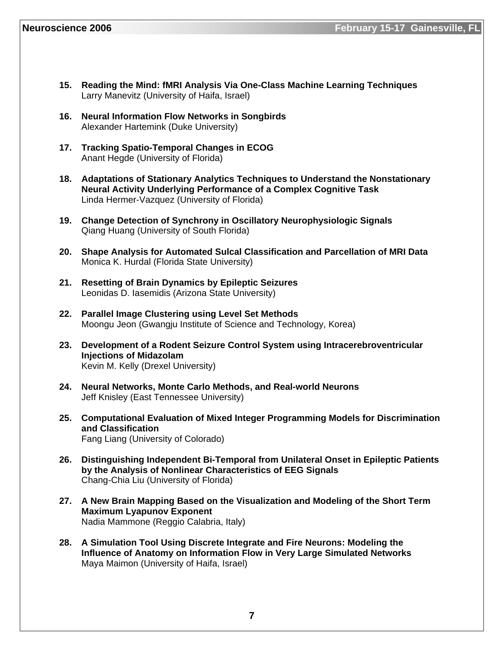- **15. Reading the Mind: fMRI Analysis Via One-Class Machine Learning Techniques**  Larry Manevitz (University of Haifa, Israel)
- **16. Neural Information Flow Networks in Songbirds**  Alexander Hartemink (Duke University)
- **17. Tracking Spatio-Temporal Changes in ECOG**  Anant Hegde (University of Florida)
- **18. Adaptations of Stationary Analytics Techniques to Understand the Nonstationary Neural Activity Underlying Performance of a Complex Cognitive Task**  Linda Hermer-Vazquez (University of Florida)
- **19. Change Detection of Synchrony in Oscillatory Neurophysiologic Signals**  Qiang Huang (University of South Florida)
- **20. Shape Analysis for Automated Sulcal Classification and Parcellation of MRI Data**  Monica K. Hurdal (Florida State University)
- **21. Resetting of Brain Dynamics by Epileptic Seizures**  Leonidas D. Iasemidis (Arizona State University)
- **22. Parallel Image Clustering using Level Set Methods**  Moongu Jeon (Gwangju Institute of Science and Technology, Korea)
- **23. Development of a Rodent Seizure Control System using Intracerebroventricular Injections of Midazolam**  Kevin M. Kelly (Drexel University)
- **24. Neural Networks, Monte Carlo Methods, and Real-world Neurons**  Jeff Knisley (East Tennessee University)
- **25. Computational Evaluation of Mixed Integer Programming Models for Discrimination and Classification**  Fang Liang (University of Colorado)
- **26. Distinguishing Independent Bi-Temporal from Unilateral Onset in Epileptic Patients by the Analysis of Nonlinear Characteristics of EEG Signals**  Chang-Chia Liu (University of Florida)
- **27. A New Brain Mapping Based on the Visualization and Modeling of the Short Term Maximum Lyapunov Exponent**  Nadia Mammone (Reggio Calabria, Italy)
- **28. A Simulation Tool Using Discrete Integrate and Fire Neurons: Modeling the Influence of Anatomy on Information Flow in Very Large Simulated Networks**  Maya Maimon (University of Haifa, Israel)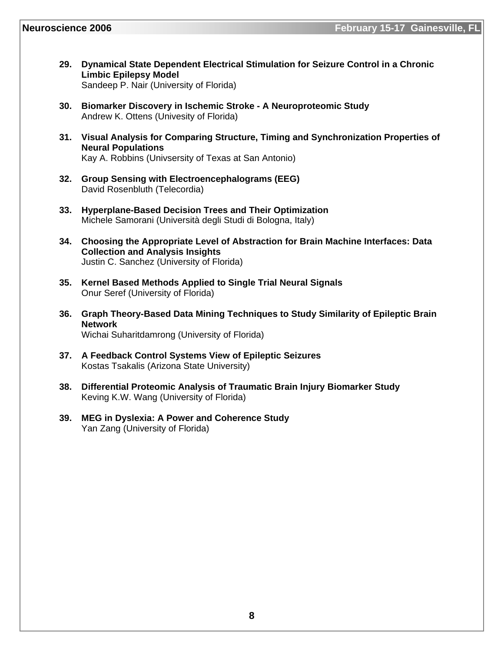- **29. Dynamical State Dependent Electrical Stimulation for Seizure Control in a Chronic Limbic Epilepsy Model**  Sandeep P. Nair (University of Florida)
- **30. Biomarker Discovery in Ischemic Stroke A Neuroproteomic Study**  Andrew K. Ottens (Univesity of Florida)
- **31. Visual Analysis for Comparing Structure, Timing and Synchronization Properties of Neural Populations**  Kay A. Robbins (Univsersity of Texas at San Antonio)
- **32. Group Sensing with Electroencephalograms (EEG)**  David Rosenbluth (Telecordia)
- **33. Hyperplane-Based Decision Trees and Their Optimization**  Michele Samorani (Università degli Studi di Bologna, Italy)
- **34. Choosing the Appropriate Level of Abstraction for Brain Machine Interfaces: Data Collection and Analysis Insights**  Justin C. Sanchez (University of Florida)
- **35. Kernel Based Methods Applied to Single Trial Neural Signals**  Onur Seref (University of Florida)
- **36. Graph Theory-Based Data Mining Techniques to Study Similarity of Epileptic Brain Network**  Wichai Suharitdamrong (University of Florida)
- **37. A Feedback Control Systems View of Epileptic Seizures**  Kostas Tsakalis (Arizona State University)
- **38. Differential Proteomic Analysis of Traumatic Brain Injury Biomarker Study**  Keving K.W. Wang (University of Florida)
- **39. MEG in Dyslexia: A Power and Coherence Study**  Yan Zang (University of Florida)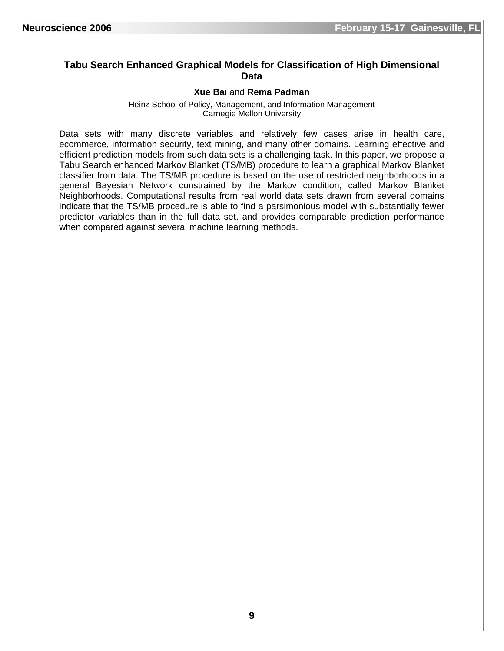# **Tabu Search Enhanced Graphical Models for Classification of High Dimensional Data**

#### **Xue Bai** and **Rema Padman**

Heinz School of Policy, Management, and Information Management Carnegie Mellon University

Data sets with many discrete variables and relatively few cases arise in health care, ecommerce, information security, text mining, and many other domains. Learning effective and efficient prediction models from such data sets is a challenging task. In this paper, we propose a Tabu Search enhanced Markov Blanket (TS/MB) procedure to learn a graphical Markov Blanket classifier from data. The TS/MB procedure is based on the use of restricted neighborhoods in a general Bayesian Network constrained by the Markov condition, called Markov Blanket Neighborhoods. Computational results from real world data sets drawn from several domains indicate that the TS/MB procedure is able to find a parsimonious model with substantially fewer predictor variables than in the full data set, and provides comparable prediction performance when compared against several machine learning methods.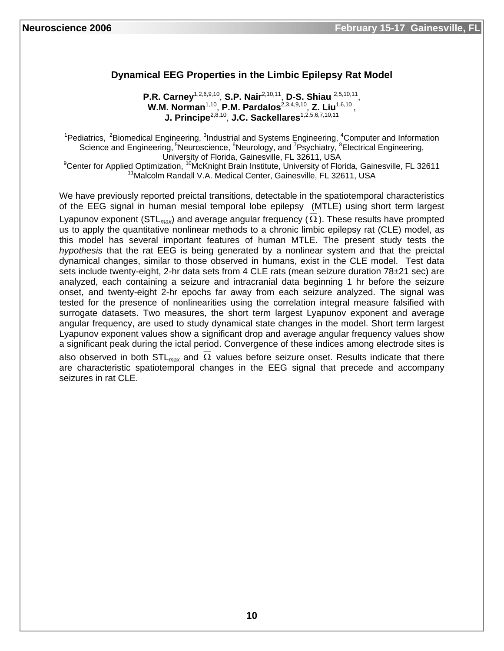# **Dynamical EEG Properties in the Limbic Epilepsy Rat Model**

**P.R. Carney**1,2,6,9,10, **S.P. Nair**2,10,11, **D-S. Shiau** 2,5,10,11, **W.M. Norman<sup>1,10</sup>, P.M. Pardalos**<sup>2,3,4,9,10</sup>, Z. Liu<sup>1,6,10</sup>, **J. Principe**2,8,10, **J.C. Sackellares**1,2,5,6,7,10,11

<sup>1</sup>Pediatrics, <sup>2</sup>Biomedical Engineering, <sup>3</sup>Industrial and Systems Engineering, <sup>4</sup>Computer and Information Science and Engineering, <sup>5</sup>Neuroscience, <sup>6</sup>Neurology, and <sup>7</sup>Psychiatry, <sup>8</sup>Electrical Engineering, University of Florida, Gainesville, FL 32611, USA

<sup>9</sup>Center for Applied Optimization, <sup>10</sup>McKnight Brain Institute, University of Florida, Gainesville, FL 32611<br><sup>11</sup>Malcolm Randall V.A. Medical Center, Gainesville, FL 32611, USA

We have previously reported preictal transitions, detectable in the spatiotemporal characteristics of the EEG signal in human mesial temporal lobe epilepsy (MTLE) using short term largest Lyapunov exponent (STL*max*) and average angular frequency (Ω ). These results have prompted us to apply the quantitative nonlinear methods to a chronic limbic epilepsy rat (CLE) model, as this model has several important features of human MTLE. The present study tests the *hypothesis* that the rat EEG is being generated by a nonlinear system and that the preictal dynamical changes, similar to those observed in humans, exist in the CLE model. Test data sets include twenty-eight, 2-hr data sets from 4 CLE rats (mean seizure duration 78±21 sec) are analyzed, each containing a seizure and intracranial data beginning 1 hr before the seizure onset, and twenty-eight 2-hr epochs far away from each seizure analyzed. The signal was tested for the presence of nonlinearities using the correlation integral measure falsified with surrogate datasets. Two measures, the short term largest Lyapunov exponent and average angular frequency, are used to study dynamical state changes in the model. Short term largest Lyapunov exponent values show a significant drop and average angular frequency values show a significant peak during the ictal period. Convergence of these indices among electrode sites is

also observed in both STL*max* and Ω values before seizure onset. Results indicate that there are characteristic spatiotemporal changes in the EEG signal that precede and accompany seizures in rat CLE.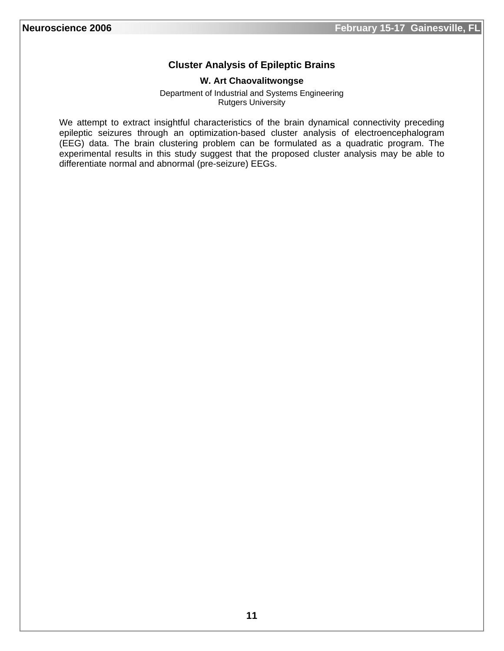# **Cluster Analysis of Epileptic Brains**

#### **W. Art Chaovalitwongse**

Department of Industrial and Systems Engineering Rutgers University

We attempt to extract insightful characteristics of the brain dynamical connectivity preceding epileptic seizures through an optimization-based cluster analysis of electroencephalogram (EEG) data. The brain clustering problem can be formulated as a quadratic program. The experimental results in this study suggest that the proposed cluster analysis may be able to differentiate normal and abnormal (pre-seizure) EEGs.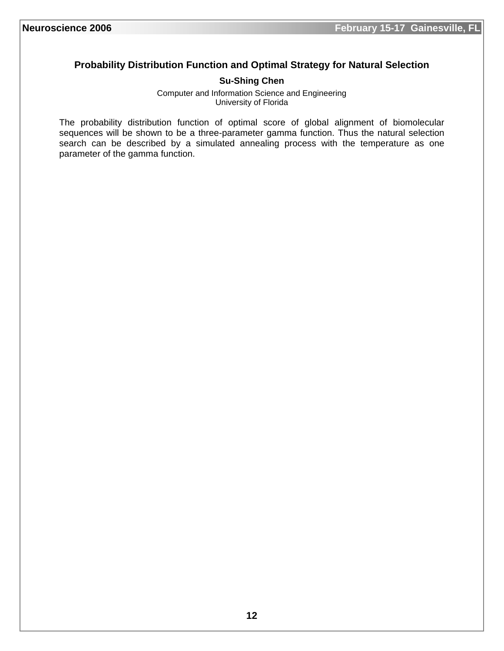# **Probability Distribution Function and Optimal Strategy for Natural Selection**

#### **Su-Shing Chen**

Computer and Information Science and Engineering University of Florida

The probability distribution function of optimal score of global alignment of biomolecular sequences will be shown to be a three-parameter gamma function. Thus the natural selection search can be described by a simulated annealing process with the temperature as one parameter of the gamma function.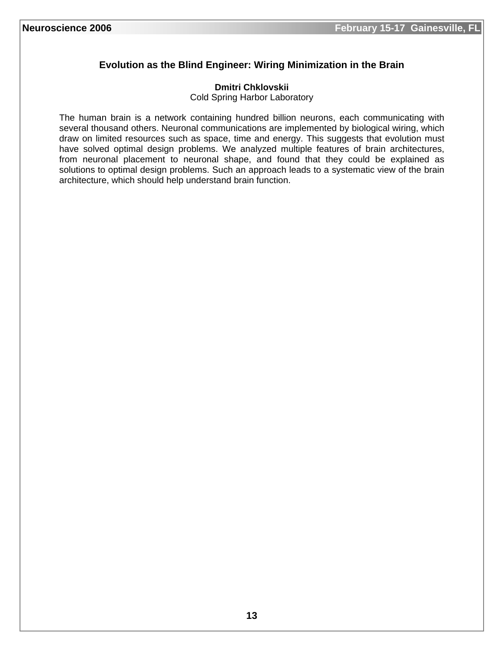# **Evolution as the Blind Engineer: Wiring Minimization in the Brain**

#### **Dmitri Chklovskii**

Cold Spring Harbor Laboratory

The human brain is a network containing hundred billion neurons, each communicating with several thousand others. Neuronal communications are implemented by biological wiring, which draw on limited resources such as space, time and energy. This suggests that evolution must have solved optimal design problems. We analyzed multiple features of brain architectures, from neuronal placement to neuronal shape, and found that they could be explained as solutions to optimal design problems. Such an approach leads to a systematic view of the brain architecture, which should help understand brain function.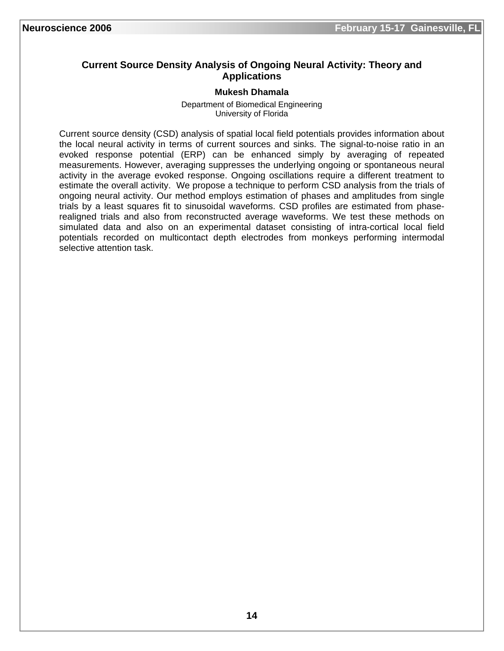# **Current Source Density Analysis of Ongoing Neural Activity: Theory and Applications**

#### **Mukesh Dhamala**

Department of Biomedical Engineering University of Florida

Current source density (CSD) analysis of spatial local field potentials provides information about the local neural activity in terms of current sources and sinks. The signal-to-noise ratio in an evoked response potential (ERP) can be enhanced simply by averaging of repeated measurements. However, averaging suppresses the underlying ongoing or spontaneous neural activity in the average evoked response. Ongoing oscillations require a different treatment to estimate the overall activity. We propose a technique to perform CSD analysis from the trials of ongoing neural activity. Our method employs estimation of phases and amplitudes from single trials by a least squares fit to sinusoidal waveforms. CSD profiles are estimated from phaserealigned trials and also from reconstructed average waveforms. We test these methods on simulated data and also on an experimental dataset consisting of intra-cortical local field potentials recorded on multicontact depth electrodes from monkeys performing intermodal selective attention task.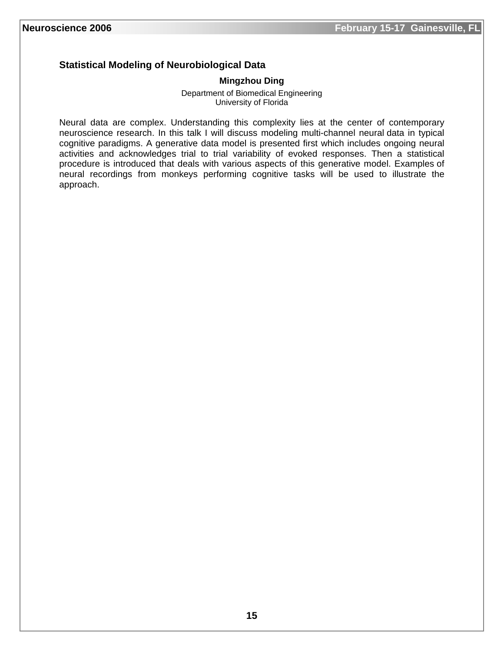# **Statistical Modeling of Neurobiological Data**

#### **Mingzhou Ding**

Department of Biomedical Engineering University of Florida

Neural data are complex. Understanding this complexity lies at the center of contemporary neuroscience research. In this talk I will discuss modeling multi-channel neural data in typical cognitive paradigms. A generative data model is presented first which includes ongoing neural activities and acknowledges trial to trial variability of evoked responses. Then a statistical procedure is introduced that deals with various aspects of this generative model. Examples of neural recordings from monkeys performing cognitive tasks will be used to illustrate the approach.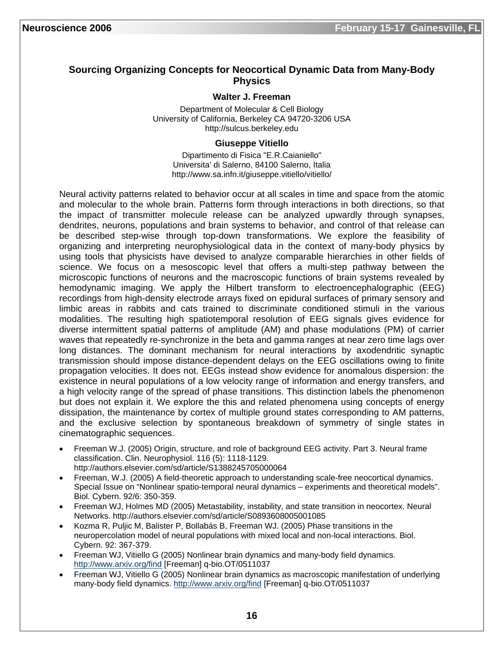# **Sourcing Organizing Concepts for Neocortical Dynamic Data from Many-Body Physics**

#### **Walter J. Freeman**

Department of Molecular & Cell Biology University of California, Berkeley CA 94720-3206 USA http://sulcus.berkeley.edu

#### **Giuseppe Vitiello**

Dipartimento di Fisica "E.R.Caianiello" Universita' di Salerno, 84100 Salerno, Italia http://www.sa.infn.it/giuseppe.vitiello/vitiello/

Neural activity patterns related to behavior occur at all scales in time and space from the atomic and molecular to the whole brain. Patterns form through interactions in both directions, so that the impact of transmitter molecule release can be analyzed upwardly through synapses, dendrites, neurons, populations and brain systems to behavior, and control of that release can be described step-wise through top-down transformations. We explore the feasibility of organizing and interpreting neurophysiological data in the context of many-body physics by using tools that physicists have devised to analyze comparable hierarchies in other fields of science. We focus on a mesoscopic level that offers a multi-step pathway between the microscopic functions of neurons and the macroscopic functions of brain systems revealed by hemodynamic imaging. We apply the Hilbert transform to electroencephalographic (EEG) recordings from high-density electrode arrays fixed on epidural surfaces of primary sensory and limbic areas in rabbits and cats trained to discriminate conditioned stimuli in the various modalities. The resulting high spatiotemporal resolution of EEG signals gives evidence for diverse intermittent spatial patterns of amplitude (AM) and phase modulations (PM) of carrier waves that repeatedly re-synchronize in the beta and gamma ranges at near zero time lags over long distances. The dominant mechanism for neural interactions by axodendritic synaptic transmission should impose distance-dependent delays on the EEG oscillations owing to finite propagation velocities. It does not. EEGs instead show evidence for anomalous dispersion: the existence in neural populations of a low velocity range of information and energy transfers, and a high velocity range of the spread of phase transitions. This distinction labels the phenomenon but does not explain it. We explore the this and related phenomena using concepts of energy dissipation, the maintenance by cortex of multiple ground states corresponding to AM patterns, and the exclusive selection by spontaneous breakdown of symmetry of single states in cinematographic sequences.

- Freeman W.J. (2005) Origin, structure, and role of background EEG activity. Part 3. Neural frame classification. Clin. Neurophysiol. 116 (5): 1118-1129. http://authors.elsevier.com/sd/article/S1388245705000064
- Freeman, W.J. (2005) A field-theoretic approach to understanding scale-free neocortical dynamics. Special Issue on "Nonlinear spatio-temporal neural dynamics – experiments and theoretical models". Biol. Cybern. 92/6: 350-359.
- Freeman WJ, Holmes MD (2005) Metastability, instability, and state transition in neocortex. Neural Networks. http://authors.elsevier.com/sd/article/S0893608005001085
- Kozma R, Puljic M, Balister P, Bollabás B, Freeman WJ. (2005) Phase transitions in the neuropercolation model of neural populations with mixed local and non-local interactions. Biol. Cybern. 92: 367-379.
- Freeman WJ, Vitiello G (2005) Nonlinear brain dynamics and many-body field dynamics. http://www.arxiv.org/find [Freeman] q-bio.OT/0511037
- Freeman WJ, Vitiello G (2005) Nonlinear brain dynamics as macroscopic manifestation of underlying many-body field dynamics. http://www.arxiv.org/find [Freeman] q-bio.OT/0511037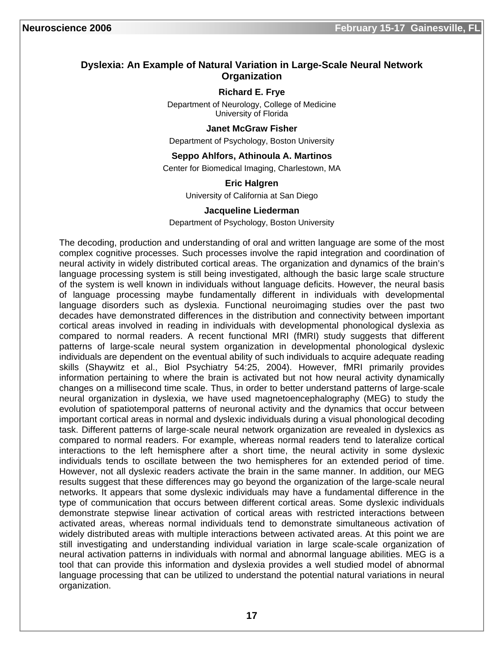#### **Dyslexia: An Example of Natural Variation in Large-Scale Neural Network Organization**

#### **Richard E. Frye**

Department of Neurology, College of Medicine University of Florida

#### **Janet McGraw Fisher**

Department of Psychology, Boston University

#### **Seppo Ahlfors, Athinoula A. Martinos**

Center for Biomedical Imaging, Charlestown, MA

#### **Eric Halgren**

University of California at San Diego

#### **Jacqueline Liederman**

#### Department of Psychology, Boston University

The decoding, production and understanding of oral and written language are some of the most complex cognitive processes. Such processes involve the rapid integration and coordination of neural activity in widely distributed cortical areas. The organization and dynamics of the brain's language processing system is still being investigated, although the basic large scale structure of the system is well known in individuals without language deficits. However, the neural basis of language processing maybe fundamentally different in individuals with developmental language disorders such as dyslexia. Functional neuroimaging studies over the past two decades have demonstrated differences in the distribution and connectivity between important cortical areas involved in reading in individuals with developmental phonological dyslexia as compared to normal readers. A recent functional MRI (fMRI) study suggests that different patterns of large-scale neural system organization in developmental phonological dyslexic individuals are dependent on the eventual ability of such individuals to acquire adequate reading skills (Shaywitz et al., Biol Psychiatry 54:25, 2004). However, fMRI primarily provides information pertaining to where the brain is activated but not how neural activity dynamically changes on a millisecond time scale. Thus, in order to better understand patterns of large-scale neural organization in dyslexia, we have used magnetoencephalography (MEG) to study the evolution of spatiotemporal patterns of neuronal activity and the dynamics that occur between important cortical areas in normal and dyslexic individuals during a visual phonological decoding task. Different patterns of large-scale neural network organization are revealed in dyslexics as compared to normal readers. For example, whereas normal readers tend to lateralize cortical interactions to the left hemisphere after a short time, the neural activity in some dyslexic individuals tends to oscillate between the two hemispheres for an extended period of time. However, not all dyslexic readers activate the brain in the same manner. In addition, our MEG results suggest that these differences may go beyond the organization of the large-scale neural networks. It appears that some dyslexic individuals may have a fundamental difference in the type of communication that occurs between different cortical areas. Some dyslexic individuals demonstrate stepwise linear activation of cortical areas with restricted interactions between activated areas, whereas normal individuals tend to demonstrate simultaneous activation of widely distributed areas with multiple interactions between activated areas. At this point we are still investigating and understanding individual variation in large scale-scale organization of neural activation patterns in individuals with normal and abnormal language abilities. MEG is a tool that can provide this information and dyslexia provides a well studied model of abnormal language processing that can be utilized to understand the potential natural variations in neural organization.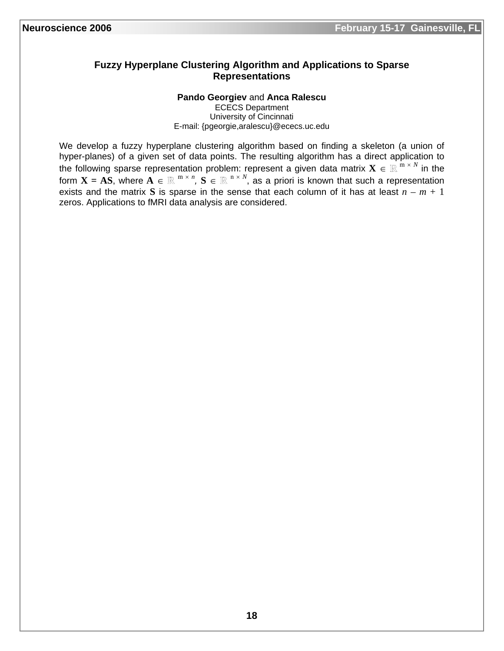#### **Fuzzy Hyperplane Clustering Algorithm and Applications to Sparse Representations**

#### **Pando Georgiev** and **Anca Ralescu**

ECECS Department University of Cincinnati E-mail: {pgeorgie,aralescu}@ececs.uc.edu

We develop a fuzzy hyperplane clustering algorithm based on finding a skeleton (a union of hyper-planes) of a given set of data points. The resulting algorithm has a direct application to the following sparse representation problem: represent a given data matrix  $\mathbf{X} \in \mathbb{R}^{m \times N}$  in the form  $\mathbf{X} = \mathbf{AS}$ , where  $\mathbf{A} \in \mathbb{R}^{m \times n}$ ,  $\mathbf{S} \in \mathbb{R}^{n \times N}$ , as a priori is known that such a representation exists and the matrix S is sparse in the sense that each column of it has at least  $n - m + 1$ zeros. Applications to fMRI data analysis are considered.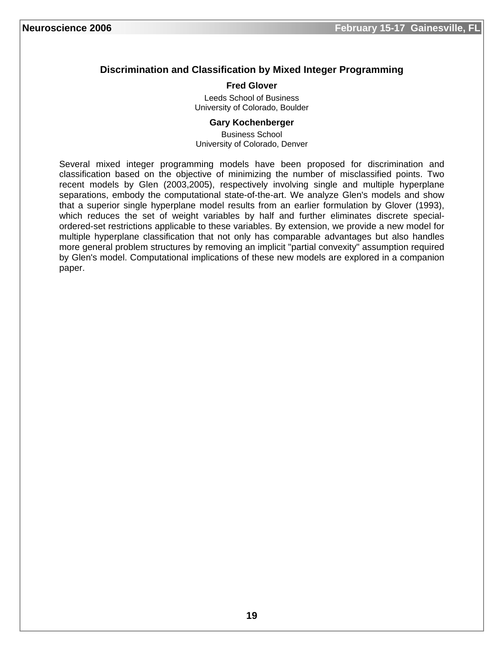# **Discrimination and Classification by Mixed Integer Programming**

#### **Fred Glover**

Leeds School of Business University of Colorado, Boulder

#### **Gary Kochenberger**

Business School University of Colorado, Denver

Several mixed integer programming models have been proposed for discrimination and classification based on the objective of minimizing the number of misclassified points. Two recent models by Glen (2003,2005), respectively involving single and multiple hyperplane separations, embody the computational state-of-the-art. We analyze Glen's models and show that a superior single hyperplane model results from an earlier formulation by Glover (1993), which reduces the set of weight variables by half and further eliminates discrete specialordered-set restrictions applicable to these variables. By extension, we provide a new model for multiple hyperplane classification that not only has comparable advantages but also handles more general problem structures by removing an implicit "partial convexity" assumption required by Glen's model. Computational implications of these new models are explored in a companion paper.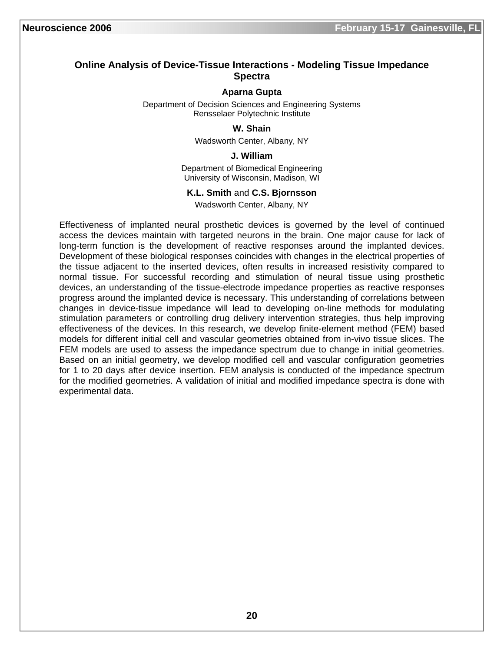#### **Online Analysis of Device-Tissue Interactions - Modeling Tissue Impedance Spectra**

#### **Aparna Gupta**

Department of Decision Sciences and Engineering Systems Rensselaer Polytechnic Institute

#### **W. Shain**

Wadsworth Center, Albany, NY

#### **J. William**

Department of Biomedical Engineering University of Wisconsin, Madison, WI

#### **K.L. Smith** and **C.S. Bjornsson**

Wadsworth Center, Albany, NY

Effectiveness of implanted neural prosthetic devices is governed by the level of continued access the devices maintain with targeted neurons in the brain. One major cause for lack of long-term function is the development of reactive responses around the implanted devices. Development of these biological responses coincides with changes in the electrical properties of the tissue adjacent to the inserted devices, often results in increased resistivity compared to normal tissue. For successful recording and stimulation of neural tissue using prosthetic devices, an understanding of the tissue-electrode impedance properties as reactive responses progress around the implanted device is necessary. This understanding of correlations between changes in device-tissue impedance will lead to developing on-line methods for modulating stimulation parameters or controlling drug delivery intervention strategies, thus help improving effectiveness of the devices. In this research, we develop finite-element method (FEM) based models for different initial cell and vascular geometries obtained from in-vivo tissue slices. The FEM models are used to assess the impedance spectrum due to change in initial geometries. Based on an initial geometry, we develop modified cell and vascular configuration geometries for 1 to 20 days after device insertion. FEM analysis is conducted of the impedance spectrum for the modified geometries. A validation of initial and modified impedance spectra is done with experimental data.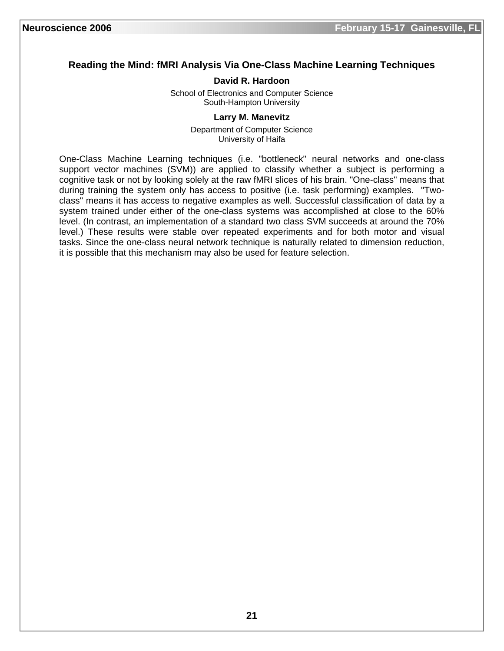# **Reading the Mind: fMRI Analysis Via One-Class Machine Learning Techniques**

# **David R. Hardoon**

School of Electronics and Computer Science South-Hampton University

# **Larry M. Manevitz**

Department of Computer Science University of Haifa

One-Class Machine Learning techniques (i.e. "bottleneck" neural networks and one-class support vector machines (SVM)) are applied to classify whether a subject is performing a cognitive task or not by looking solely at the raw fMRI slices of his brain. "One-class" means that during training the system only has access to positive (i.e. task performing) examples. "Twoclass" means it has access to negative examples as well. Successful classification of data by a system trained under either of the one-class systems was accomplished at close to the 60% level. (In contrast, an implementation of a standard two class SVM succeeds at around the 70% level.) These results were stable over repeated experiments and for both motor and visual tasks. Since the one-class neural network technique is naturally related to dimension reduction, it is possible that this mechanism may also be used for feature selection.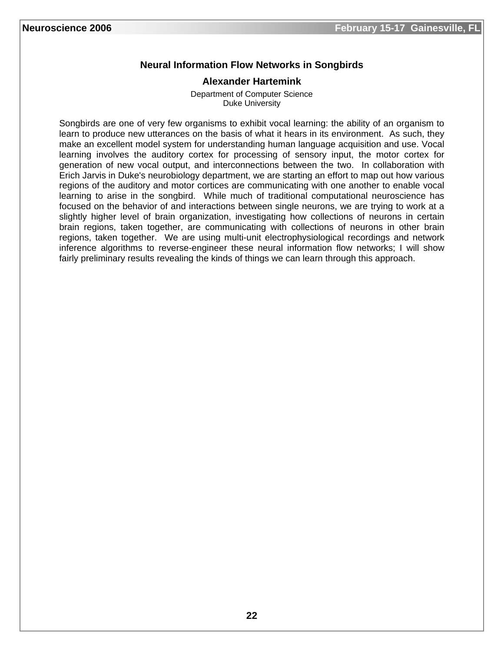# **Neural Information Flow Networks in Songbirds**

#### **Alexander Hartemink**

Department of Computer Science Duke University

Songbirds are one of very few organisms to exhibit vocal learning: the ability of an organism to learn to produce new utterances on the basis of what it hears in its environment. As such, they make an excellent model system for understanding human language acquisition and use. Vocal learning involves the auditory cortex for processing of sensory input, the motor cortex for generation of new vocal output, and interconnections between the two. In collaboration with Erich Jarvis in Duke's neurobiology department, we are starting an effort to map out how various regions of the auditory and motor cortices are communicating with one another to enable vocal learning to arise in the songbird. While much of traditional computational neuroscience has focused on the behavior of and interactions between single neurons, we are trying to work at a slightly higher level of brain organization, investigating how collections of neurons in certain brain regions, taken together, are communicating with collections of neurons in other brain regions, taken together. We are using multi-unit electrophysiological recordings and network inference algorithms to reverse-engineer these neural information flow networks; I will show fairly preliminary results revealing the kinds of things we can learn through this approach.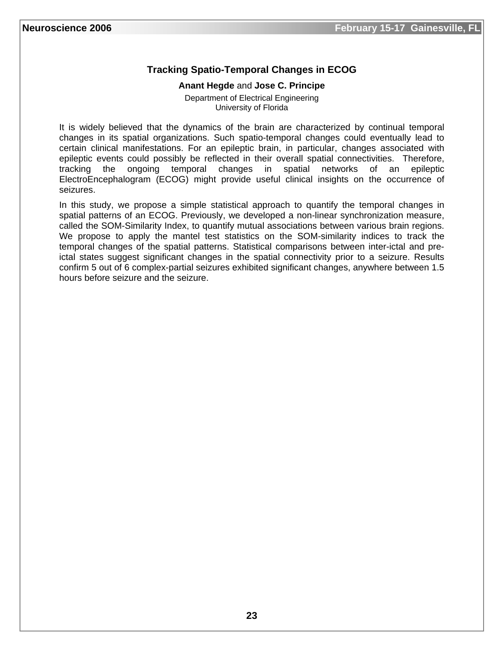# **Tracking Spatio-Temporal Changes in ECOG**

#### **Anant Hegde** and **Jose C. Principe**

Department of Electrical Engineering University of Florida

It is widely believed that the dynamics of the brain are characterized by continual temporal changes in its spatial organizations. Such spatio-temporal changes could eventually lead to certain clinical manifestations. For an epileptic brain, in particular, changes associated with epileptic events could possibly be reflected in their overall spatial connectivities. Therefore, tracking the ongoing temporal changes in spatial networks of an epileptic ElectroEncephalogram (ECOG) might provide useful clinical insights on the occurrence of seizures.

In this study, we propose a simple statistical approach to quantify the temporal changes in spatial patterns of an ECOG. Previously, we developed a non-linear synchronization measure, called the SOM-Similarity Index, to quantify mutual associations between various brain regions. We propose to apply the mantel test statistics on the SOM-similarity indices to track the temporal changes of the spatial patterns. Statistical comparisons between inter-ictal and preictal states suggest significant changes in the spatial connectivity prior to a seizure. Results confirm 5 out of 6 complex-partial seizures exhibited significant changes, anywhere between 1.5 hours before seizure and the seizure.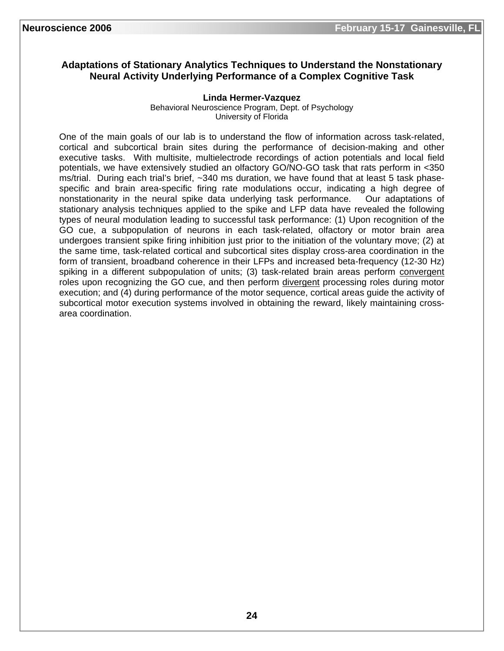# **Adaptations of Stationary Analytics Techniques to Understand the Nonstationary Neural Activity Underlying Performance of a Complex Cognitive Task**

#### **Linda Hermer-Vazquez**

Behavioral Neuroscience Program, Dept. of Psychology University of Florida

One of the main goals of our lab is to understand the flow of information across task-related, cortical and subcortical brain sites during the performance of decision-making and other executive tasks. With multisite, multielectrode recordings of action potentials and local field potentials, we have extensively studied an olfactory GO/NO-GO task that rats perform in <350 ms/trial. During each trial's brief, ~340 ms duration, we have found that at least 5 task phasespecific and brain area-specific firing rate modulations occur, indicating a high degree of nonstationarity in the neural spike data underlying task performance. Our adaptations of stationary analysis techniques applied to the spike and LFP data have revealed the following types of neural modulation leading to successful task performance: (1) Upon recognition of the GO cue, a subpopulation of neurons in each task-related, olfactory or motor brain area undergoes transient spike firing inhibition just prior to the initiation of the voluntary move; (2) at the same time, task-related cortical and subcortical sites display cross-area coordination in the form of transient, broadband coherence in their LFPs and increased beta-frequency (12-30 Hz) spiking in a different subpopulation of units; (3) task-related brain areas perform convergent roles upon recognizing the GO cue, and then perform divergent processing roles during motor execution; and (4) during performance of the motor sequence, cortical areas guide the activity of subcortical motor execution systems involved in obtaining the reward, likely maintaining crossarea coordination.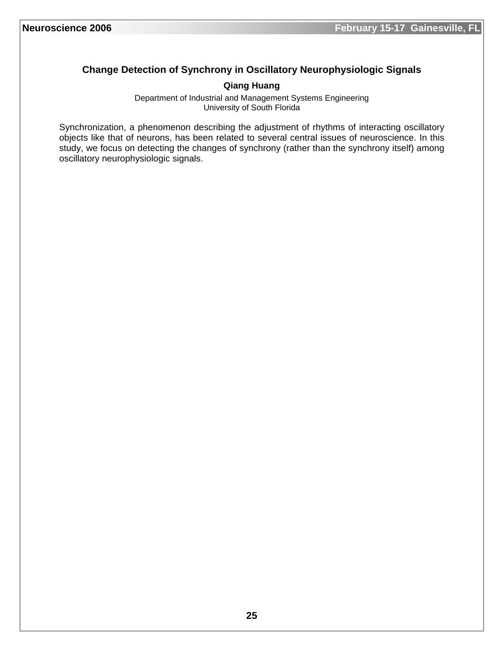# **Change Detection of Synchrony in Oscillatory Neurophysiologic Signals**

# **Qiang Huang**

Department of Industrial and Management Systems Engineering University of South Florida

Synchronization, a phenomenon describing the adjustment of rhythms of interacting oscillatory objects like that of neurons, has been related to several central issues of neuroscience. In this study, we focus on detecting the changes of synchrony (rather than the synchrony itself) among oscillatory neurophysiologic signals.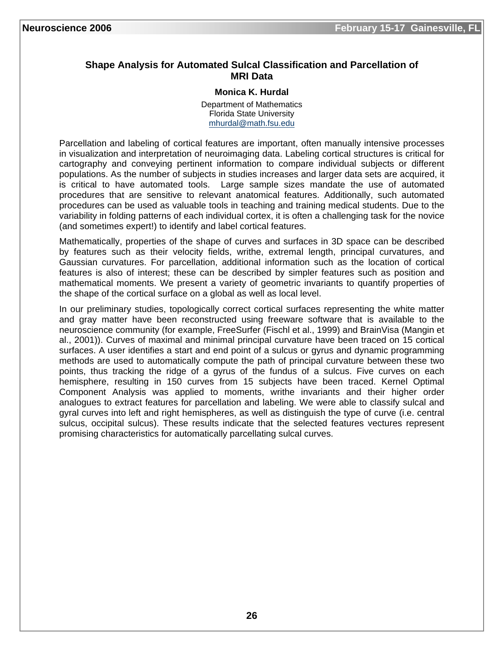# **Shape Analysis for Automated Sulcal Classification and Parcellation of MRI Data**

#### **Monica K. Hurdal**

Department of Mathematics Florida State University mhurdal@math.fsu.edu

Parcellation and labeling of cortical features are important, often manually intensive processes in visualization and interpretation of neuroimaging data. Labeling cortical structures is critical for cartography and conveying pertinent information to compare individual subjects or different populations. As the number of subjects in studies increases and larger data sets are acquired, it is critical to have automated tools. Large sample sizes mandate the use of automated procedures that are sensitive to relevant anatomical features. Additionally, such automated procedures can be used as valuable tools in teaching and training medical students. Due to the variability in folding patterns of each individual cortex, it is often a challenging task for the novice (and sometimes expert!) to identify and label cortical features.

Mathematically, properties of the shape of curves and surfaces in 3D space can be described by features such as their velocity fields, writhe, extremal length, principal curvatures, and Gaussian curvatures. For parcellation, additional information such as the location of cortical features is also of interest; these can be described by simpler features such as position and mathematical moments. We present a variety of geometric invariants to quantify properties of the shape of the cortical surface on a global as well as local level.

In our preliminary studies, topologically correct cortical surfaces representing the white matter and gray matter have been reconstructed using freeware software that is available to the neuroscience community (for example, FreeSurfer (Fischl et al., 1999) and BrainVisa (Mangin et al., 2001)). Curves of maximal and minimal principal curvature have been traced on 15 cortical surfaces. A user identifies a start and end point of a sulcus or gyrus and dynamic programming methods are used to automatically compute the path of principal curvature between these two points, thus tracking the ridge of a gyrus of the fundus of a sulcus. Five curves on each hemisphere, resulting in 150 curves from 15 subjects have been traced. Kernel Optimal Component Analysis was applied to moments, writhe invariants and their higher order analogues to extract features for parcellation and labeling. We were able to classify sulcal and gyral curves into left and right hemispheres, as well as distinguish the type of curve (i.e. central sulcus, occipital sulcus). These results indicate that the selected features vectures represent promising characteristics for automatically parcellating sulcal curves.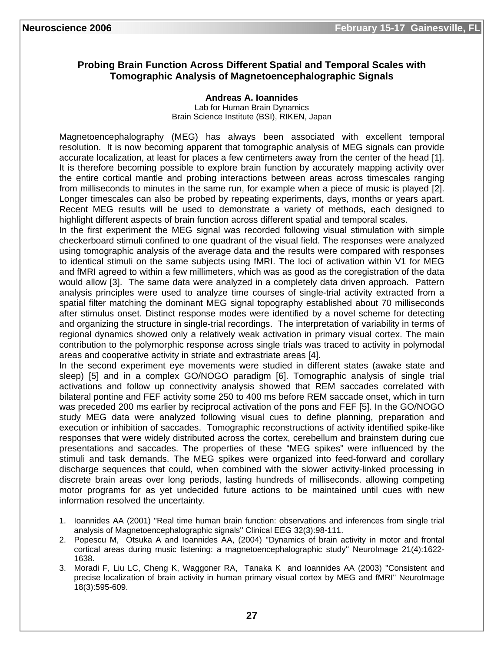# **Probing Brain Function Across Different Spatial and Temporal Scales with Tomographic Analysis of Magnetoencephalographic Signals**

**Andreas A. Ioannides** 

Lab for Human Brain Dynamics Brain Science Institute (BSI), RIKEN, Japan

Magnetoencephalography (MEG) has always been associated with excellent temporal resolution. It is now becoming apparent that tomographic analysis of MEG signals can provide accurate localization, at least for places a few centimeters away from the center of the head [1]. It is therefore becoming possible to explore brain function by accurately mapping activity over the entire cortical mantle and probing interactions between areas across timescales ranging from milliseconds to minutes in the same run, for example when a piece of music is played [2]. Longer timescales can also be probed by repeating experiments, days, months or years apart. Recent MEG results will be used to demonstrate a variety of methods, each designed to highlight different aspects of brain function across different spatial and temporal scales.

In the first experiment the MEG signal was recorded following visual stimulation with simple checkerboard stimuli confined to one quadrant of the visual field. The responses were analyzed using tomographic analysis of the average data and the results were compared with responses to identical stimuli on the same subjects using fMRI. The loci of activation within V1 for MEG and fMRI agreed to within a few millimeters, which was as good as the coregistration of the data would allow [3]. The same data were analyzed in a completely data driven approach. Pattern analysis principles were used to analyze time courses of single-trial activity extracted from a spatial filter matching the dominant MEG signal topography established about 70 milliseconds after stimulus onset. Distinct response modes were identified by a novel scheme for detecting and organizing the structure in single-trial recordings. The interpretation of variability in terms of regional dynamics showed only a relatively weak activation in primary visual cortex. The main contribution to the polymorphic response across single trials was traced to activity in polymodal areas and cooperative activity in striate and extrastriate areas [4].

In the second experiment eye movements were studied in different states (awake state and sleep) [5] and in a complex GO/NOGO paradigm [6]. Tomographic analysis of single trial activations and follow up connectivity analysis showed that REM saccades correlated with bilateral pontine and FEF activity some 250 to 400 ms before REM saccade onset, which in turn was preceded 200 ms earlier by reciprocal activation of the pons and FEF [5]. In the GO/NOGO study MEG data were analyzed following visual cues to define planning, preparation and execution or inhibition of saccades. Tomographic reconstructions of activity identified spike-like responses that were widely distributed across the cortex, cerebellum and brainstem during cue presentations and saccades. The properties of these "MEG spikes" were influenced by the stimuli and task demands. The MEG spikes were organized into feed-forward and corollary discharge sequences that could, when combined with the slower activity-linked processing in discrete brain areas over long periods, lasting hundreds of milliseconds. allowing competing motor programs for as yet undecided future actions to be maintained until cues with new information resolved the uncertainty.

- 1. Ioannides AA (2001) ''Real time human brain function: observations and inferences from single trial analysis of Magnetoencephalographic signals'' Clinical EEG 32(3):98-111.
- 2. Popescu M, Otsuka A and Ioannides AA, (2004) ''Dynamics of brain activity in motor and frontal cortical areas during music listening: a magnetoencephalographic study'' NeuroImage 21(4):1622- 1638.
- 3. Moradi F, Liu LC, Cheng K, Waggoner RA, Tanaka K and Ioannides AA (2003) ''Consistent and precise localization of brain activity in human primary visual cortex by MEG and fMRI'' NeuroImage 18(3):595-609.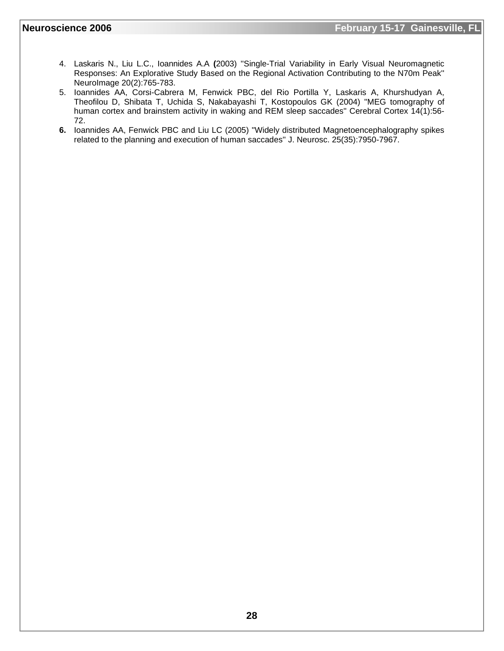- 4. Laskaris N., Liu L.C., Ioannides A.A **(**2003) ''Single-Trial Variability in Early Visual Neuromagnetic Responses: An Explorative Study Based on the Regional Activation Contributing to the N70m Peak'' NeuroImage 20(2):765-783.
- 5. Ioannides AA, Corsi-Cabrera M, Fenwick PBC, del Rio Portilla Y, Laskaris A, Khurshudyan A, Theofilou D, Shibata T, Uchida S, Nakabayashi T, Kostopoulos GK (2004) ''MEG tomography of human cortex and brainstem activity in waking and REM sleep saccades'' Cerebral Cortex 14(1):56- 72.
- **6.** Ioannides AA, Fenwick PBC and Liu LC (2005) ''Widely distributed Magnetoencephalography spikes related to the planning and execution of human saccades'' J. Neurosc. 25(35):7950-7967.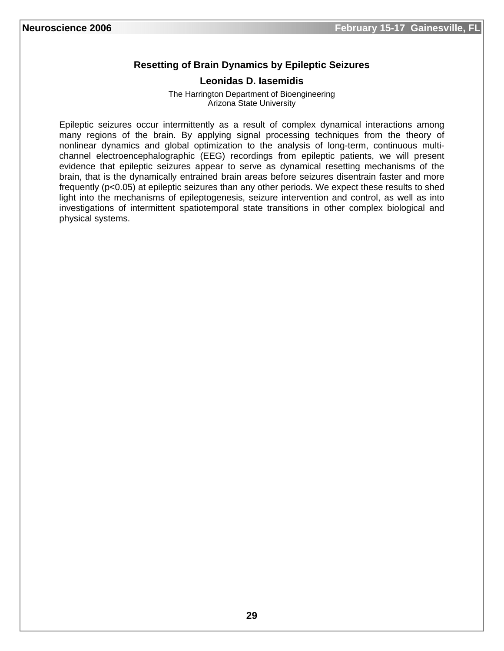# **Resetting of Brain Dynamics by Epileptic Seizures**

#### **Leonidas D. Iasemidis**

The Harrington Department of Bioengineering Arizona State University

Epileptic seizures occur intermittently as a result of complex dynamical interactions among many regions of the brain. By applying signal processing techniques from the theory of nonlinear dynamics and global optimization to the analysis of long-term, continuous multichannel electroencephalographic (EEG) recordings from epileptic patients, we will present evidence that epileptic seizures appear to serve as dynamical resetting mechanisms of the brain, that is the dynamically entrained brain areas before seizures disentrain faster and more frequently (p<0.05) at epileptic seizures than any other periods. We expect these results to shed light into the mechanisms of epileptogenesis, seizure intervention and control, as well as into investigations of intermittent spatiotemporal state transitions in other complex biological and physical systems.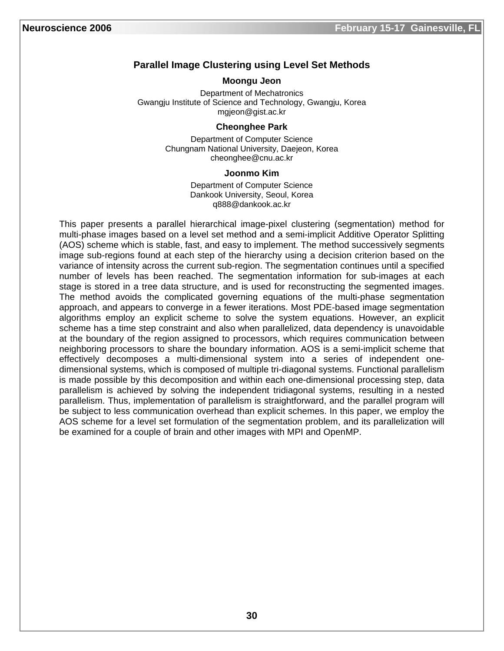# **Parallel Image Clustering using Level Set Methods**

#### **Moongu Jeon**

Department of Mechatronics Gwangju Institute of Science and Technology, Gwangju, Korea mgjeon@gist.ac.kr

#### **Cheonghee Park**

Department of Computer Science Chungnam National University, Daejeon, Korea cheonghee@cnu.ac.kr

#### **Joonmo Kim**

Department of Computer Science Dankook University, Seoul, Korea q888@dankook.ac.kr

This paper presents a parallel hierarchical image-pixel clustering (segmentation) method for multi-phase images based on a level set method and a semi-implicit Additive Operator Splitting (AOS) scheme which is stable, fast, and easy to implement. The method successively segments image sub-regions found at each step of the hierarchy using a decision criterion based on the variance of intensity across the current sub-region. The segmentation continues until a specified number of levels has been reached. The segmentation information for sub-images at each stage is stored in a tree data structure, and is used for reconstructing the segmented images. The method avoids the complicated governing equations of the multi-phase segmentation approach, and appears to converge in a fewer iterations. Most PDE-based image segmentation algorithms employ an explicit scheme to solve the system equations. However, an explicit scheme has a time step constraint and also when parallelized, data dependency is unavoidable at the boundary of the region assigned to processors, which requires communication between neighboring processors to share the boundary information. AOS is a semi-implicit scheme that effectively decomposes a multi-dimensional system into a series of independent onedimensional systems, which is composed of multiple tri-diagonal systems. Functional parallelism is made possible by this decomposition and within each one-dimensional processing step, data parallelism is achieved by solving the independent tridiagonal systems, resulting in a nested parallelism. Thus, implementation of parallelism is straightforward, and the parallel program will be subject to less communication overhead than explicit schemes. In this paper, we employ the AOS scheme for a level set formulation of the segmentation problem, and its parallelization will be examined for a couple of brain and other images with MPI and OpenMP.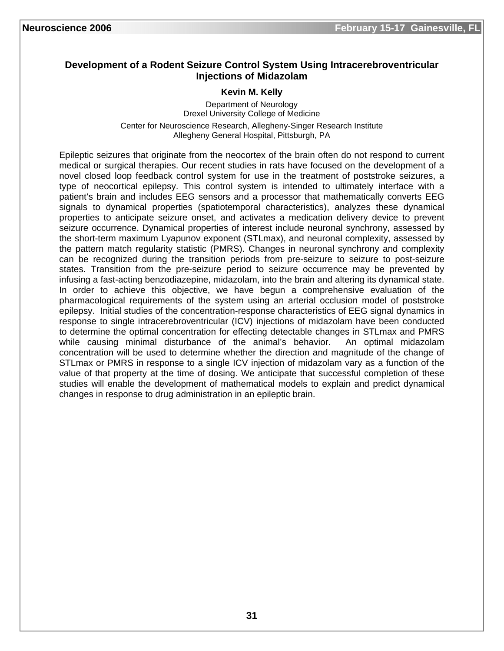## **Development of a Rodent Seizure Control System Using Intracerebroventricular Injections of Midazolam**

#### **Kevin M. Kelly**

Department of Neurology Drexel University College of Medicine Center for Neuroscience Research, Allegheny-Singer Research Institute Allegheny General Hospital, Pittsburgh, PA

Epileptic seizures that originate from the neocortex of the brain often do not respond to current medical or surgical therapies. Our recent studies in rats have focused on the development of a novel closed loop feedback control system for use in the treatment of poststroke seizures, a type of neocortical epilepsy. This control system is intended to ultimately interface with a patient's brain and includes EEG sensors and a processor that mathematically converts EEG signals to dynamical properties (spatiotemporal characteristics), analyzes these dynamical properties to anticipate seizure onset, and activates a medication delivery device to prevent seizure occurrence. Dynamical properties of interest include neuronal synchrony, assessed by the short-term maximum Lyapunov exponent (STLmax), and neuronal complexity, assessed by the pattern match regularity statistic (PMRS). Changes in neuronal synchrony and complexity can be recognized during the transition periods from pre-seizure to seizure to post-seizure states. Transition from the pre-seizure period to seizure occurrence may be prevented by infusing a fast-acting benzodiazepine, midazolam, into the brain and altering its dynamical state. In order to achieve this objective, we have begun a comprehensive evaluation of the pharmacological requirements of the system using an arterial occlusion model of poststroke epilepsy. Initial studies of the concentration-response characteristics of EEG signal dynamics in response to single intracerebroventricular (ICV) injections of midazolam have been conducted to determine the optimal concentration for effecting detectable changes in STLmax and PMRS while causing minimal disturbance of the animal's behavior. An optimal midazolam concentration will be used to determine whether the direction and magnitude of the change of STLmax or PMRS in response to a single ICV injection of midazolam vary as a function of the value of that property at the time of dosing. We anticipate that successful completion of these studies will enable the development of mathematical models to explain and predict dynamical changes in response to drug administration in an epileptic brain.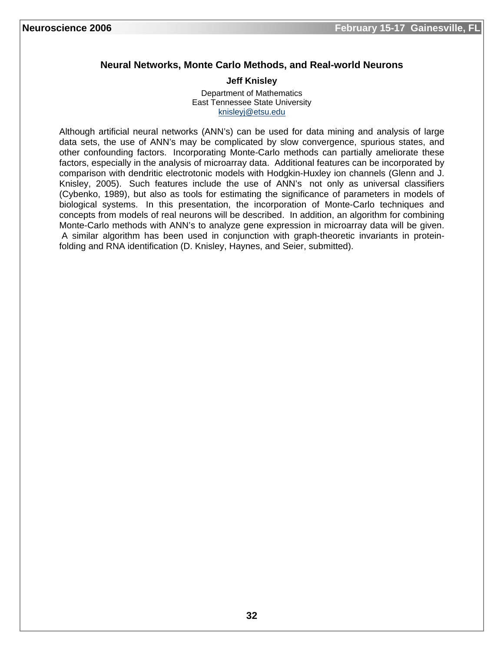# **Neural Networks, Monte Carlo Methods, and Real-world Neurons**

#### **Jeff Knisley**

Department of Mathematics East Tennessee State University knisleyj@etsu.edu

Although artificial neural networks (ANN's) can be used for data mining and analysis of large data sets, the use of ANN's may be complicated by slow convergence, spurious states, and other confounding factors. Incorporating Monte-Carlo methods can partially ameliorate these factors, especially in the analysis of microarray data. Additional features can be incorporated by comparison with dendritic electrotonic models with Hodgkin-Huxley ion channels (Glenn and J. Knisley, 2005). Such features include the use of ANN's not only as universal classifiers (Cybenko, 1989), but also as tools for estimating the significance of parameters in models of biological systems. In this presentation, the incorporation of Monte-Carlo techniques and concepts from models of real neurons will be described. In addition, an algorithm for combining Monte-Carlo methods with ANN's to analyze gene expression in microarray data will be given. A similar algorithm has been used in conjunction with graph-theoretic invariants in proteinfolding and RNA identification (D. Knisley, Haynes, and Seier, submitted).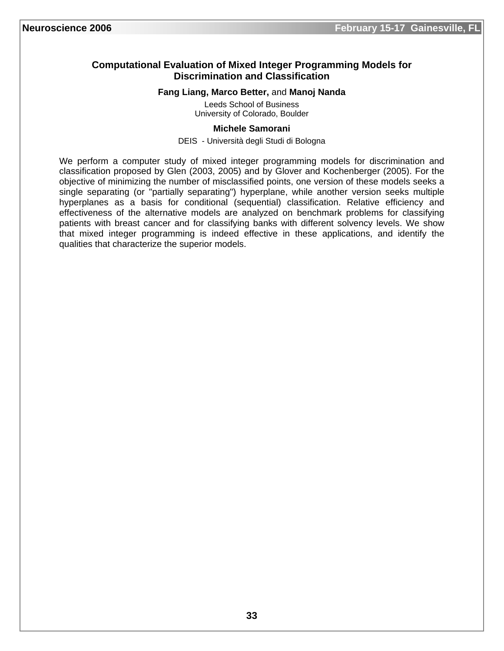# **Computational Evaluation of Mixed Integer Programming Models for Discrimination and Classification**

#### **Fang Liang, Marco Better,** and **Manoj Nanda**

Leeds School of Business University of Colorado, Boulder

#### **Michele Samorani**

#### DEIS - Università degli Studi di Bologna

We perform a computer study of mixed integer programming models for discrimination and classification proposed by Glen (2003, 2005) and by Glover and Kochenberger (2005). For the objective of minimizing the number of misclassified points, one version of these models seeks a single separating (or "partially separating") hyperplane, while another version seeks multiple hyperplanes as a basis for conditional (sequential) classification. Relative efficiency and effectiveness of the alternative models are analyzed on benchmark problems for classifying patients with breast cancer and for classifying banks with different solvency levels. We show that mixed integer programming is indeed effective in these applications, and identify the qualities that characterize the superior models.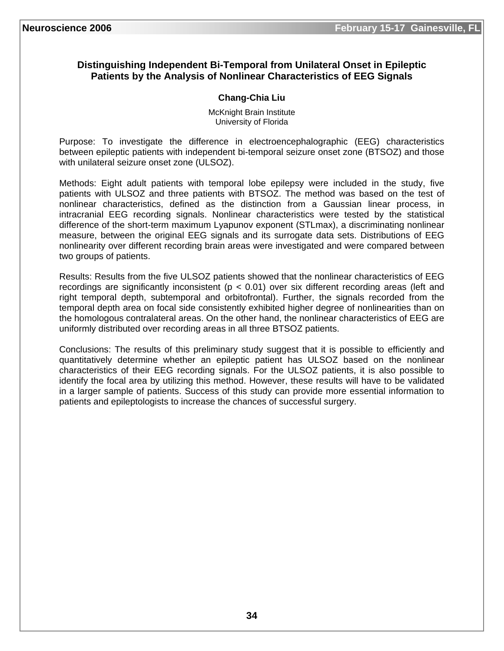# **Distinguishing Independent Bi-Temporal from Unilateral Onset in Epileptic Patients by the Analysis of Nonlinear Characteristics of EEG Signals**

# **Chang-Chia Liu**

McKnight Brain Institute University of Florida

Purpose: To investigate the difference in electroencephalographic (EEG) characteristics between epileptic patients with independent bi-temporal seizure onset zone (BTSOZ) and those with unilateral seizure onset zone (ULSOZ).

Methods: Eight adult patients with temporal lobe epilepsy were included in the study, five patients with ULSOZ and three patients with BTSOZ. The method was based on the test of nonlinear characteristics, defined as the distinction from a Gaussian linear process, in intracranial EEG recording signals. Nonlinear characteristics were tested by the statistical difference of the short-term maximum Lyapunov exponent (STLmax), a discriminating nonlinear measure, between the original EEG signals and its surrogate data sets. Distributions of EEG nonlinearity over different recording brain areas were investigated and were compared between two groups of patients.

Results: Results from the five ULSOZ patients showed that the nonlinear characteristics of EEG recordings are significantly inconsistent ( $p < 0.01$ ) over six different recording areas (left and right temporal depth, subtemporal and orbitofrontal). Further, the signals recorded from the temporal depth area on focal side consistently exhibited higher degree of nonlinearities than on the homologous contralateral areas. On the other hand, the nonlinear characteristics of EEG are uniformly distributed over recording areas in all three BTSOZ patients.

Conclusions: The results of this preliminary study suggest that it is possible to efficiently and quantitatively determine whether an epileptic patient has ULSOZ based on the nonlinear characteristics of their EEG recording signals. For the ULSOZ patients, it is also possible to identify the focal area by utilizing this method. However, these results will have to be validated in a larger sample of patients. Success of this study can provide more essential information to patients and epileptologists to increase the chances of successful surgery.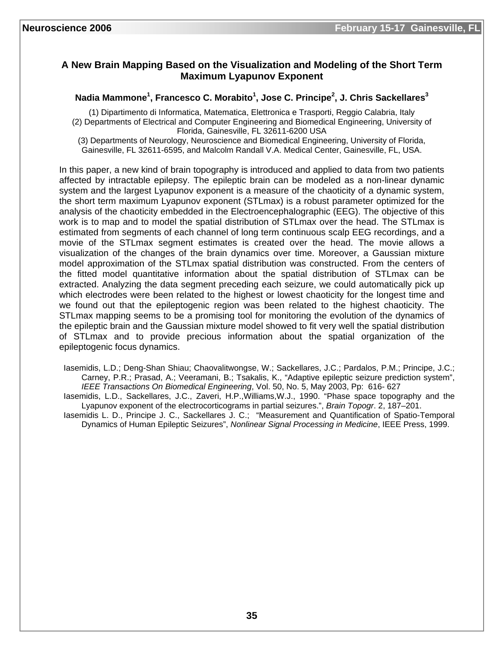# **A New Brain Mapping Based on the Visualization and Modeling of the Short Term Maximum Lyapunov Exponent**

#### **Nadia Mammone<sup>1</sup> , Francesco C. Morabito<sup>1</sup> , Jose C. Principe<sup>2</sup> , J. Chris Sackellares<sup>3</sup>**

(1) Dipartimento di Informatica, Matematica, Elettronica e Trasporti, Reggio Calabria, Italy (2) Departments of Electrical and Computer Engineering and Biomedical Engineering, University of Florida, Gainesville, FL 32611-6200 USA

(3) Departments of Neurology, Neuroscience and Biomedical Engineering, University of Florida, Gainesville, FL 32611-6595, and Malcolm Randall V.A. Medical Center, Gainesville, FL, USA.

In this paper, a new kind of brain topography is introduced and applied to data from two patients affected by intractable epilepsy. The epileptic brain can be modeled as a non-linear dynamic system and the largest Lyapunov exponent is a measure of the chaoticity of a dynamic system, the short term maximum Lyapunov exponent (STLmax) is a robust parameter optimized for the analysis of the chaoticity embedded in the Electroencephalographic (EEG). The objective of this work is to map and to model the spatial distribution of STLmax over the head. The STLmax is estimated from segments of each channel of long term continuous scalp EEG recordings, and a movie of the STLmax segment estimates is created over the head. The movie allows a visualization of the changes of the brain dynamics over time. Moreover, a Gaussian mixture model approximation of the STLmax spatial distribution was constructed. From the centers of the fitted model quantitative information about the spatial distribution of STLmax can be extracted. Analyzing the data segment preceding each seizure, we could automatically pick up which electrodes were been related to the highest or lowest chaoticity for the longest time and we found out that the epileptogenic region was been related to the highest chaoticity. The STLmax mapping seems to be a promising tool for monitoring the evolution of the dynamics of the epileptic brain and the Gaussian mixture model showed to fit very well the spatial distribution of STLmax and to provide precious information about the spatial organization of the epileptogenic focus dynamics.

Iasemidis, L.D.; Deng-Shan Shiau; Chaovalitwongse, W.; Sackellares, J.C.; Pardalos, P.M.; Principe, J.C.; Carney, P.R.; Prasad, A.; Veeramani, B.; Tsakalis, K., "Adaptive epileptic seizure prediction system", *IEEE Transactions On Biomedical Engineering*, Vol. 50, No. 5, May 2003, Pp: 616- 627

Iasemidis, L.D., Sackellares, J.C., Zaveri, H.P.,Williams,W.J., 1990. "Phase space topography and the Lyapunov exponent of the electrocorticograms in partial seizures.", *Brain Topogr*. 2, 187–201.

Iasemidis L. D., Principe J. C., Sackellares J. C.; "Measurement and Quantification of Spatio-Temporal Dynamics of Human Epileptic Seizures", *Nonlinear Signal Processing in Medicine*, IEEE Press, 1999.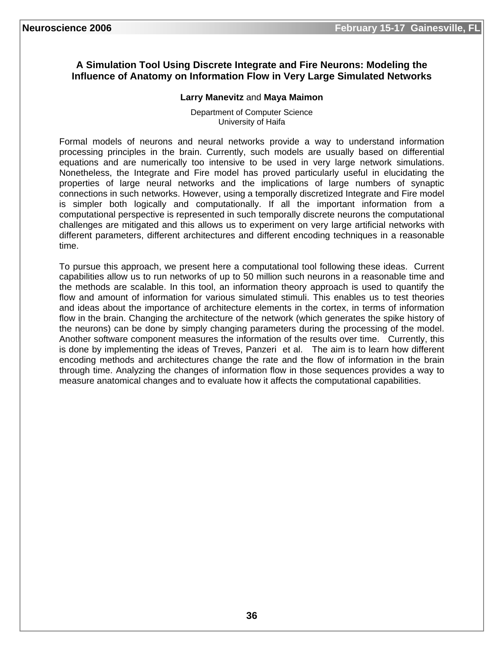# **A Simulation Tool Using Discrete Integrate and Fire Neurons: Modeling the Influence of Anatomy on Information Flow in Very Large Simulated Networks**

#### **Larry Manevitz** and **Maya Maimon**

Department of Computer Science University of Haifa

Formal models of neurons and neural networks provide a way to understand information processing principles in the brain. Currently, such models are usually based on differential equations and are numerically too intensive to be used in very large network simulations. Nonetheless, the Integrate and Fire model has proved particularly useful in elucidating the properties of large neural networks and the implications of large numbers of synaptic connections in such networks. However, using a temporally discretized Integrate and Fire model is simpler both logically and computationally. If all the important information from a computational perspective is represented in such temporally discrete neurons the computational challenges are mitigated and this allows us to experiment on very large artificial networks with different parameters, different architectures and different encoding techniques in a reasonable time.

To pursue this approach, we present here a computational tool following these ideas. Current capabilities allow us to run networks of up to 50 million such neurons in a reasonable time and the methods are scalable. In this tool, an information theory approach is used to quantify the flow and amount of information for various simulated stimuli. This enables us to test theories and ideas about the importance of architecture elements in the cortex, in terms of information flow in the brain. Changing the architecture of the network (which generates the spike history of the neurons) can be done by simply changing parameters during the processing of the model. Another software component measures the information of the results over time. Currently, this is done by implementing the ideas of Treves, Panzeri et al. The aim is to learn how different encoding methods and architectures change the rate and the flow of information in the brain through time. Analyzing the changes of information flow in those sequences provides a way to measure anatomical changes and to evaluate how it affects the computational capabilities.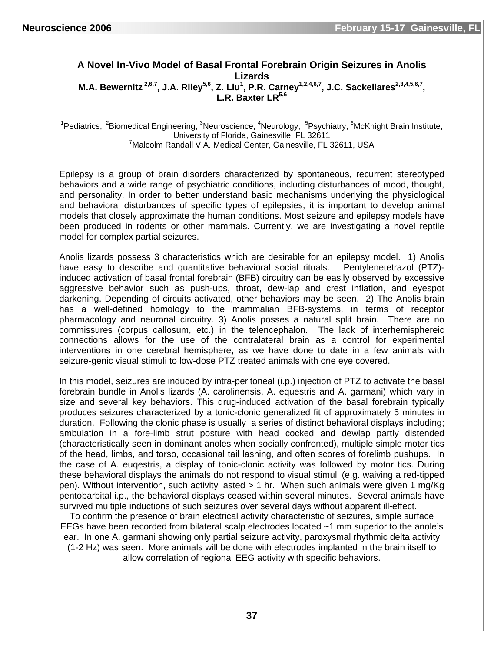#### **A Novel In-Vivo Model of Basal Frontal Forebrain Origin Seizures in Anolis Lizards**  M.A. Bewernitz<sup>2,6,7</sup>, J.A. Riley<sup>5,6</sup>, Z. Liu<sup>1</sup>, P.R. Carney<sup>1,2,4,6,7</sup>, J.C. Sackellares<sup>2,3,4,5,6,7</sup>, L.R. Baxter LR<sup>5,6</sup>

<sup>1</sup>Pediatrics, <sup>2</sup>Biomedical Engineering, <sup>3</sup>Neuroscience, <sup>4</sup>Neurology, <sup>5</sup>Psychiatry, <sup>6</sup>McKnight Brain Institute, University of Florida, Gainesville, FL 32611 7 <sup>7</sup> Malcolm Randall V.A. Medical Center, Gainesville, FL 32611, USA

Epilepsy is a group of brain disorders characterized by spontaneous, recurrent stereotyped behaviors and a wide range of psychiatric conditions, including disturbances of mood, thought, and personality. In order to better understand basic mechanisms underlying the physiological and behavioral disturbances of specific types of epilepsies, it is important to develop animal models that closely approximate the human conditions. Most seizure and epilepsy models have been produced in rodents or other mammals. Currently, we are investigating a novel reptile model for complex partial seizures.

Anolis lizards possess 3 characteristics which are desirable for an epilepsy model. 1) Anolis have easy to describe and quantitative behavioral social rituals. Pentylenetetrazol (PTZ)induced activation of basal frontal forebrain (BFB) circuitry can be easily observed by excessive aggressive behavior such as push-ups, throat, dew-lap and crest inflation, and eyespot darkening. Depending of circuits activated, other behaviors may be seen. 2) The Anolis brain has a well-defined homology to the mammalian BFB-systems, in terms of receptor pharmacology and neuronal circuitry. 3) Anolis posses a natural split brain. There are no commissures (corpus callosum, etc.) in the telencephalon. The lack of interhemisphereic connections allows for the use of the contralateral brain as a control for experimental interventions in one cerebral hemisphere, as we have done to date in a few animals with seizure-genic visual stimuli to low-dose PTZ treated animals with one eye covered.

In this model, seizures are induced by intra-peritoneal (i.p.) injection of PTZ to activate the basal forebrain bundle in Anolis lizards (A. carolinensis, A. equestris and A. garmani) which vary in size and several key behaviors. This drug-induced activation of the basal forebrain typically produces seizures characterized by a tonic-clonic generalized fit of approximately 5 minutes in duration. Following the clonic phase is usually a series of distinct behavioral displays including; ambulation in a fore-limb strut posture with head cocked and dewlap partly distended (characteristically seen in dominant anoles when socially confronted), multiple simple motor tics of the head, limbs, and torso, occasional tail lashing, and often scores of forelimb pushups. In the case of A. euqestris, a display of tonic-clonic activity was followed by motor tics. During these behavioral displays the animals do not respond to visual stimuli (e.g. waiving a red-tipped pen). Without intervention, such activity lasted > 1 hr. When such animals were given 1 mg/Kg pentobarbital i.p., the behavioral displays ceased within several minutes. Several animals have survived multiple inductions of such seizures over several days without apparent ill-effect.

To confirm the presence of brain electrical activity characteristic of seizures, simple surface EEGs have been recorded from bilateral scalp electrodes located ~1 mm superior to the anole's ear. In one A. garmani showing only partial seizure activity, paroxysmal rhythmic delta activity

(1-2 Hz) was seen. More animals will be done with electrodes implanted in the brain itself to allow correlation of regional EEG activity with specific behaviors.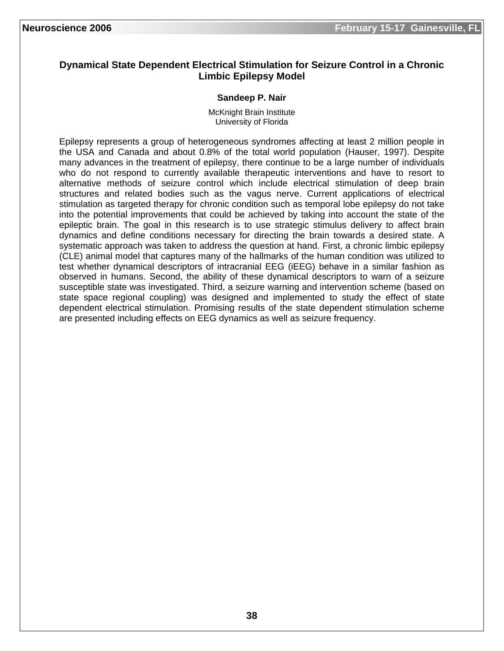# **Dynamical State Dependent Electrical Stimulation for Seizure Control in a Chronic Limbic Epilepsy Model**

#### **Sandeep P. Nair**

McKnight Brain Institute University of Florida

Epilepsy represents a group of heterogeneous syndromes affecting at least 2 million people in the USA and Canada and about 0.8% of the total world population (Hauser, 1997). Despite many advances in the treatment of epilepsy, there continue to be a large number of individuals who do not respond to currently available therapeutic interventions and have to resort to alternative methods of seizure control which include electrical stimulation of deep brain structures and related bodies such as the vagus nerve. Current applications of electrical stimulation as targeted therapy for chronic condition such as temporal lobe epilepsy do not take into the potential improvements that could be achieved by taking into account the state of the epileptic brain. The goal in this research is to use strategic stimulus delivery to affect brain dynamics and define conditions necessary for directing the brain towards a desired state. A systematic approach was taken to address the question at hand. First, a chronic limbic epilepsy (CLE) animal model that captures many of the hallmarks of the human condition was utilized to test whether dynamical descriptors of intracranial EEG (iEEG) behave in a similar fashion as observed in humans. Second, the ability of these dynamical descriptors to warn of a seizure susceptible state was investigated. Third, a seizure warning and intervention scheme (based on state space regional coupling) was designed and implemented to study the effect of state dependent electrical stimulation. Promising results of the state dependent stimulation scheme are presented including effects on EEG dynamics as well as seizure frequency.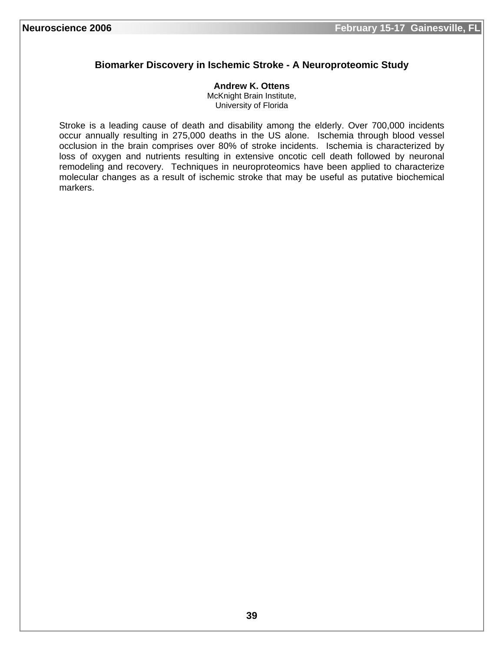# **Biomarker Discovery in Ischemic Stroke - A Neuroproteomic Study**

#### **Andrew K. Ottens**

McKnight Brain Institute, University of Florida

Stroke is a leading cause of death and disability among the elderly. Over 700,000 incidents occur annually resulting in 275,000 deaths in the US alone. Ischemia through blood vessel occlusion in the brain comprises over 80% of stroke incidents. Ischemia is characterized by loss of oxygen and nutrients resulting in extensive oncotic cell death followed by neuronal remodeling and recovery. Techniques in neuroproteomics have been applied to characterize molecular changes as a result of ischemic stroke that may be useful as putative biochemical markers.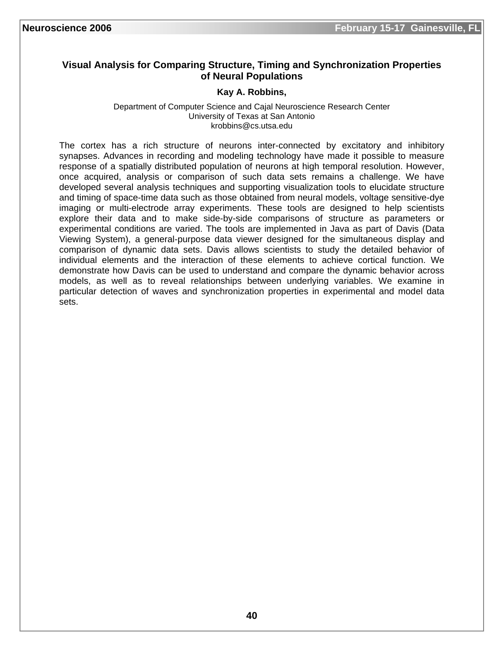# **Visual Analysis for Comparing Structure, Timing and Synchronization Properties of Neural Populations**

#### **Kay A. Robbins,**

Department of Computer Science and Cajal Neuroscience Research Center University of Texas at San Antonio krobbins@cs.utsa.edu

The cortex has a rich structure of neurons inter-connected by excitatory and inhibitory synapses. Advances in recording and modeling technology have made it possible to measure response of a spatially distributed population of neurons at high temporal resolution. However, once acquired, analysis or comparison of such data sets remains a challenge. We have developed several analysis techniques and supporting visualization tools to elucidate structure and timing of space-time data such as those obtained from neural models, voltage sensitive-dye imaging or multi-electrode array experiments. These tools are designed to help scientists explore their data and to make side-by-side comparisons of structure as parameters or experimental conditions are varied. The tools are implemented in Java as part of Davis (Data Viewing System), a general-purpose data viewer designed for the simultaneous display and comparison of dynamic data sets. Davis allows scientists to study the detailed behavior of individual elements and the interaction of these elements to achieve cortical function. We demonstrate how Davis can be used to understand and compare the dynamic behavior across models, as well as to reveal relationships between underlying variables. We examine in particular detection of waves and synchronization properties in experimental and model data sets.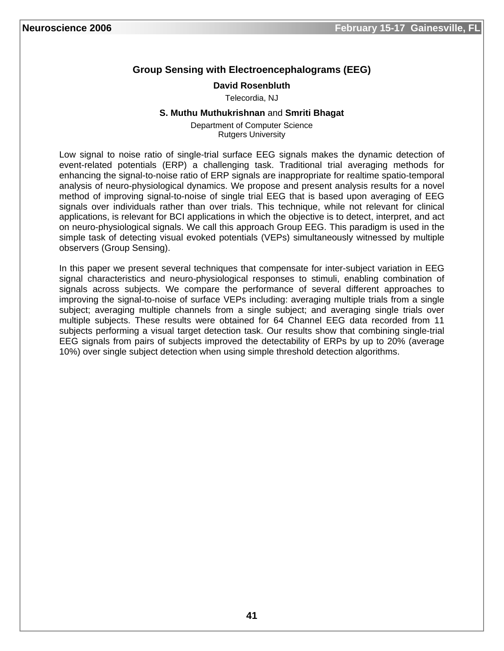# **Group Sensing with Electroencephalograms (EEG)**

#### **David Rosenbluth**

Telecordia, NJ

#### **S. Muthu Muthukrishnan** and **Smriti Bhagat**

Department of Computer Science Rutgers University

Low signal to noise ratio of single-trial surface EEG signals makes the dynamic detection of event-related potentials (ERP) a challenging task. Traditional trial averaging methods for enhancing the signal-to-noise ratio of ERP signals are inappropriate for realtime spatio-temporal analysis of neuro-physiological dynamics. We propose and present analysis results for a novel method of improving signal-to-noise of single trial EEG that is based upon averaging of EEG signals over individuals rather than over trials. This technique, while not relevant for clinical applications, is relevant for BCI applications in which the objective is to detect, interpret, and act on neuro-physiological signals. We call this approach Group EEG. This paradigm is used in the simple task of detecting visual evoked potentials (VEPs) simultaneously witnessed by multiple observers (Group Sensing).

In this paper we present several techniques that compensate for inter-subject variation in EEG signal characteristics and neuro-physiological responses to stimuli, enabling combination of signals across subjects. We compare the performance of several different approaches to improving the signal-to-noise of surface VEPs including: averaging multiple trials from a single subject; averaging multiple channels from a single subject; and averaging single trials over multiple subjects. These results were obtained for 64 Channel EEG data recorded from 11 subjects performing a visual target detection task. Our results show that combining single-trial EEG signals from pairs of subjects improved the detectability of ERPs by up to 20% (average 10%) over single subject detection when using simple threshold detection algorithms.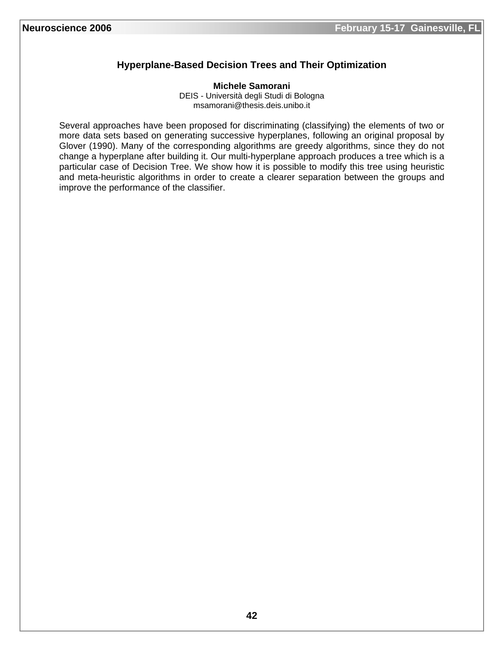# **Hyperplane-Based Decision Trees and Their Optimization**

**Michele Samorani**  DEIS - Università degli Studi di Bologna msamorani@thesis.deis.unibo.it

Several approaches have been proposed for discriminating (classifying) the elements of two or more data sets based on generating successive hyperplanes, following an original proposal by Glover (1990). Many of the corresponding algorithms are greedy algorithms, since they do not change a hyperplane after building it. Our multi-hyperplane approach produces a tree which is a particular case of Decision Tree. We show how it is possible to modify this tree using heuristic and meta-heuristic algorithms in order to create a clearer separation between the groups and improve the performance of the classifier.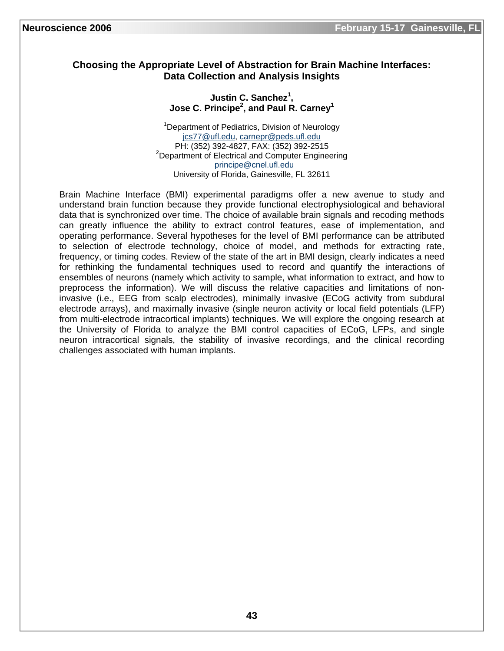# **Choosing the Appropriate Level of Abstraction for Brain Machine Interfaces: Data Collection and Analysis Insights**

### **Justin C. Sanchez<sup>1</sup> , Jose C. Principe<sup>2</sup> , and Paul R. Carney1**

<sup>1</sup>Department of Pediatrics, Division of Neurology jcs77@ufl.edu, carnepr@peds.ufl.edu PH: (352) 392-4827, FAX: (352) 392-2515 2  $2$ Department of Electrical and Computer Engineering principe@cnel.ufl.edu University of Florida, Gainesville, FL 32611

Brain Machine Interface (BMI) experimental paradigms offer a new avenue to study and understand brain function because they provide functional electrophysiological and behavioral data that is synchronized over time. The choice of available brain signals and recoding methods can greatly influence the ability to extract control features, ease of implementation, and operating performance. Several hypotheses for the level of BMI performance can be attributed to selection of electrode technology, choice of model, and methods for extracting rate, frequency, or timing codes. Review of the state of the art in BMI design, clearly indicates a need for rethinking the fundamental techniques used to record and quantify the interactions of ensembles of neurons (namely which activity to sample, what information to extract, and how to preprocess the information). We will discuss the relative capacities and limitations of noninvasive (i.e., EEG from scalp electrodes), minimally invasive (ECoG activity from subdural electrode arrays), and maximally invasive (single neuron activity or local field potentials (LFP) from multi-electrode intracortical implants) techniques. We will explore the ongoing research at the University of Florida to analyze the BMI control capacities of ECoG, LFPs, and single neuron intracortical signals, the stability of invasive recordings, and the clinical recording challenges associated with human implants.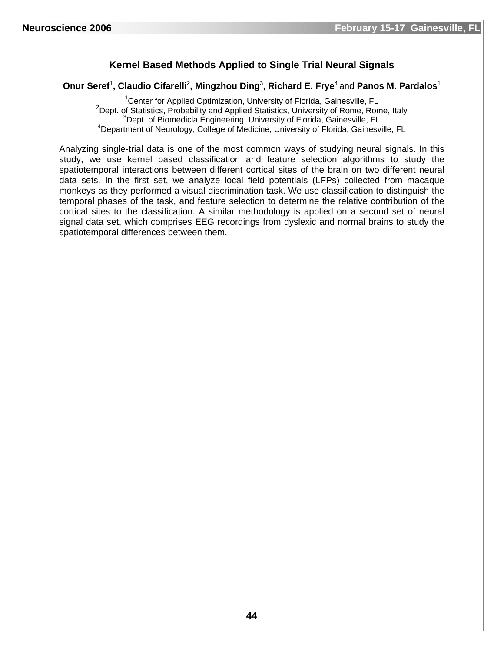# **Kernel Based Methods Applied to Single Trial Neural Signals**

#### **Onur Seref**<sup>1</sup> **, Claudio Cifarelli**<sup>2</sup> **, Mingzhou Ding**<sup>3</sup> **, Richard E. Frye**4 and **Panos M. Pardalos**<sup>1</sup>

<sup>1</sup> Center for Applied Optimization, University of Florida, Gainesville, FL<br><sup>2</sup> Dept. of Statistics, Prehability and Applied Statistics, University of Bame, Bam  $2$ Dept. of Statistics, Probability and Applied Statistics, University of Rome, Rome, Italy  $3$ Dept. of Biomedicla Engineering, University of Florida, Gainesville, FL <sup>4</sup>Department of Neurology, College of Medicine, University of Florida, Gainesville, FL

Analyzing single-trial data is one of the most common ways of studying neural signals. In this study, we use kernel based classification and feature selection algorithms to study the spatiotemporal interactions between different cortical sites of the brain on two different neural data sets. In the first set, we analyze local field potentials (LFPs) collected from macaque monkeys as they performed a visual discrimination task. We use classification to distinguish the temporal phases of the task, and feature selection to determine the relative contribution of the cortical sites to the classification. A similar methodology is applied on a second set of neural signal data set, which comprises EEG recordings from dyslexic and normal brains to study the spatiotemporal differences between them.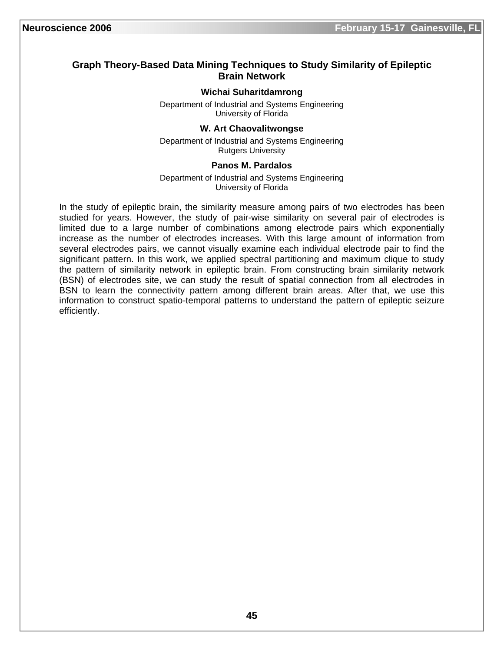# **Graph Theory-Based Data Mining Techniques to Study Similarity of Epileptic Brain Network**

#### **Wichai Suharitdamrong**

Department of Industrial and Systems Engineering University of Florida

#### **W. Art Chaovalitwongse**

Department of Industrial and Systems Engineering Rutgers University

#### **Panos M. Pardalos**

Department of Industrial and Systems Engineering University of Florida

In the study of epileptic brain, the similarity measure among pairs of two electrodes has been studied for years. However, the study of pair-wise similarity on several pair of electrodes is limited due to a large number of combinations among electrode pairs which exponentially increase as the number of electrodes increases. With this large amount of information from several electrodes pairs, we cannot visually examine each individual electrode pair to find the significant pattern. In this work, we applied spectral partitioning and maximum clique to study the pattern of similarity network in epileptic brain. From constructing brain similarity network (BSN) of electrodes site, we can study the result of spatial connection from all electrodes in BSN to learn the connectivity pattern among different brain areas. After that, we use this information to construct spatio-temporal patterns to understand the pattern of epileptic seizure efficiently.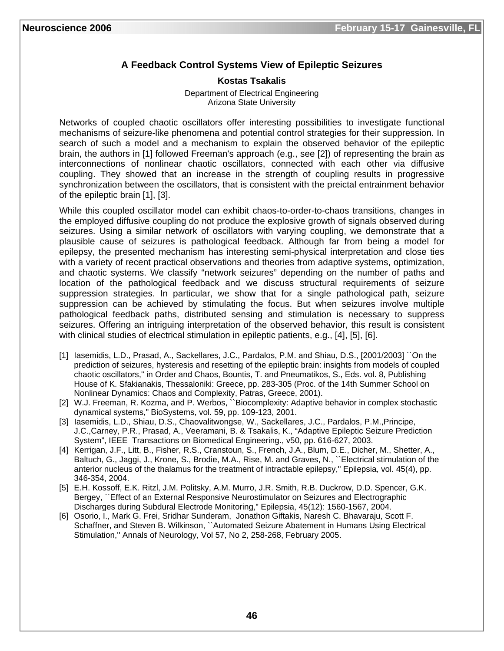# **A Feedback Control Systems View of Epileptic Seizures**

#### **Kostas Tsakalis**

Department of Electrical Engineering Arizona State University

Networks of coupled chaotic oscillators offer interesting possibilities to investigate functional mechanisms of seizure-like phenomena and potential control strategies for their suppression. In search of such a model and a mechanism to explain the observed behavior of the epileptic brain, the authors in [1] followed Freeman's approach (e.g., see [2]) of representing the brain as interconnections of nonlinear chaotic oscillators, connected with each other via diffusive coupling. They showed that an increase in the strength of coupling results in progressive synchronization between the oscillators, that is consistent with the preictal entrainment behavior of the epileptic brain [1], [3].

While this coupled oscillator model can exhibit chaos-to-order-to-chaos transitions, changes in the employed diffusive coupling do not produce the explosive growth of signals observed during seizures. Using a similar network of oscillators with varying coupling, we demonstrate that a plausible cause of seizures is pathological feedback. Although far from being a model for epilepsy, the presented mechanism has interesting semi-physical interpretation and close ties with a variety of recent practical observations and theories from adaptive systems, optimization, and chaotic systems. We classify "network seizures" depending on the number of paths and location of the pathological feedback and we discuss structural requirements of seizure suppression strategies. In particular, we show that for a single pathological path, seizure suppression can be achieved by stimulating the focus. But when seizures involve multiple pathological feedback paths, distributed sensing and stimulation is necessary to suppress seizures. Offering an intriguing interpretation of the observed behavior, this result is consistent with clinical studies of electrical stimulation in epileptic patients, e.g., [4], [5], [6].

- [1] Iasemidis, L.D., Prasad, A., Sackellares, J.C., Pardalos, P.M. and Shiau, D.S., [2001/2003] ``On the prediction of seizures, hysteresis and resetting of the epileptic brain: insights from models of coupled chaotic oscillators," in Order and Chaos, Bountis, T. and Pneumatikos, S., Eds. vol. 8, Publishing House of K. Sfakianakis, Thessaloniki: Greece, pp. 283-305 (Proc. of the 14th Summer School on Nonlinear Dynamics: Chaos and Complexity, Patras, Greece, 2001).
- [2] W.J. Freeman, R. Kozma, and P. Werbos, "Biocomplexity: Adaptive behavior in complex stochastic dynamical systems," BioSystems, vol. 59, pp. 109-123, 2001.
- [3] Iasemidis, L.D., Shiau, D.S., Chaovalitwongse, W., Sackellares, J.C., Pardalos, P.M.,Principe, J.C.,Carney, P.R., Prasad, A., Veeramani, B. & Tsakalis, K., "Adaptive Epileptic Seizure Prediction System", IEEE Transactions on Biomedical Engineering., v50, pp. 616-627, 2003.
- [4] Kerrigan, J.F., Litt, B., Fisher, R.S., Cranstoun, S., French, J.A., Blum, D.E., Dicher, M., Shetter, A., Baltuch, G., Jaggi, J., Krone, S., Brodie, M.A., Rise, M. and Graves, N., ``Electrical stimulation of the anterior nucleus of the thalamus for the treatment of intractable epilepsy," Epilepsia, vol. 45(4), pp. 346-354, 2004.
- [5] E.H. Kossoff, E.K. Ritzl, J.M. Politsky, A.M. Murro, J.R. Smith, R.B. Duckrow, D.D. Spencer, G.K. Bergey, ``Effect of an External Responsive Neurostimulator on Seizures and Electrographic Discharges during Subdural Electrode Monitoring," Epilepsia, 45(12): 1560-1567, 2004.
- [6] Osorio, I., Mark G. Frei, Sridhar Sunderam, Jonathon Giftakis, Naresh C. Bhavaraju, Scott F. Schaffner, and Steven B. Wilkinson, ``Automated Seizure Abatement in Humans Using Electrical Stimulation,'' Annals of Neurology, Vol 57, No 2, 258-268, February 2005.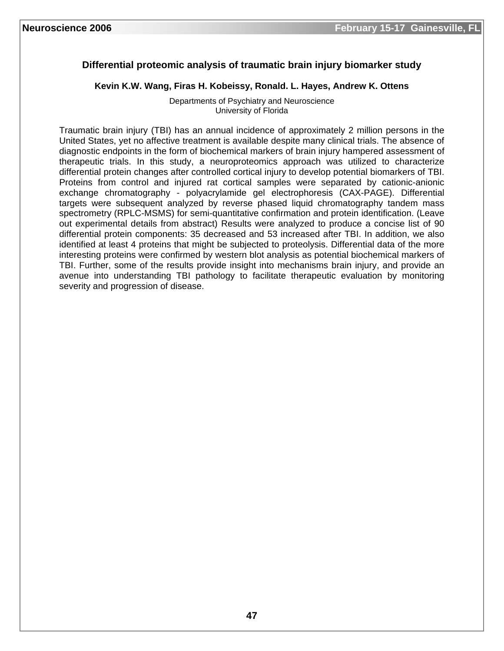# **Differential proteomic analysis of traumatic brain injury biomarker study**

**Kevin K.W. Wang, Firas H. Kobeissy, Ronald. L. Hayes, Andrew K. Ottens** 

Departments of Psychiatry and Neuroscience University of Florida

Traumatic brain injury (TBI) has an annual incidence of approximately 2 million persons in the United States, yet no affective treatment is available despite many clinical trials. The absence of diagnostic endpoints in the form of biochemical markers of brain injury hampered assessment of therapeutic trials. In this study, a neuroproteomics approach was utilized to characterize differential protein changes after controlled cortical injury to develop potential biomarkers of TBI. Proteins from control and injured rat cortical samples were separated by cationic-anionic exchange chromatography - polyacrylamide gel electrophoresis (CAX-PAGE). Differential targets were subsequent analyzed by reverse phased liquid chromatography tandem mass spectrometry (RPLC-MSMS) for semi-quantitative confirmation and protein identification. (Leave out experimental details from abstract) Results were analyzed to produce a concise list of 90 differential protein components: 35 decreased and 53 increased after TBI. In addition, we also identified at least 4 proteins that might be subjected to proteolysis. Differential data of the more interesting proteins were confirmed by western blot analysis as potential biochemical markers of TBI. Further, some of the results provide insight into mechanisms brain injury, and provide an avenue into understanding TBI pathology to facilitate therapeutic evaluation by monitoring severity and progression of disease.